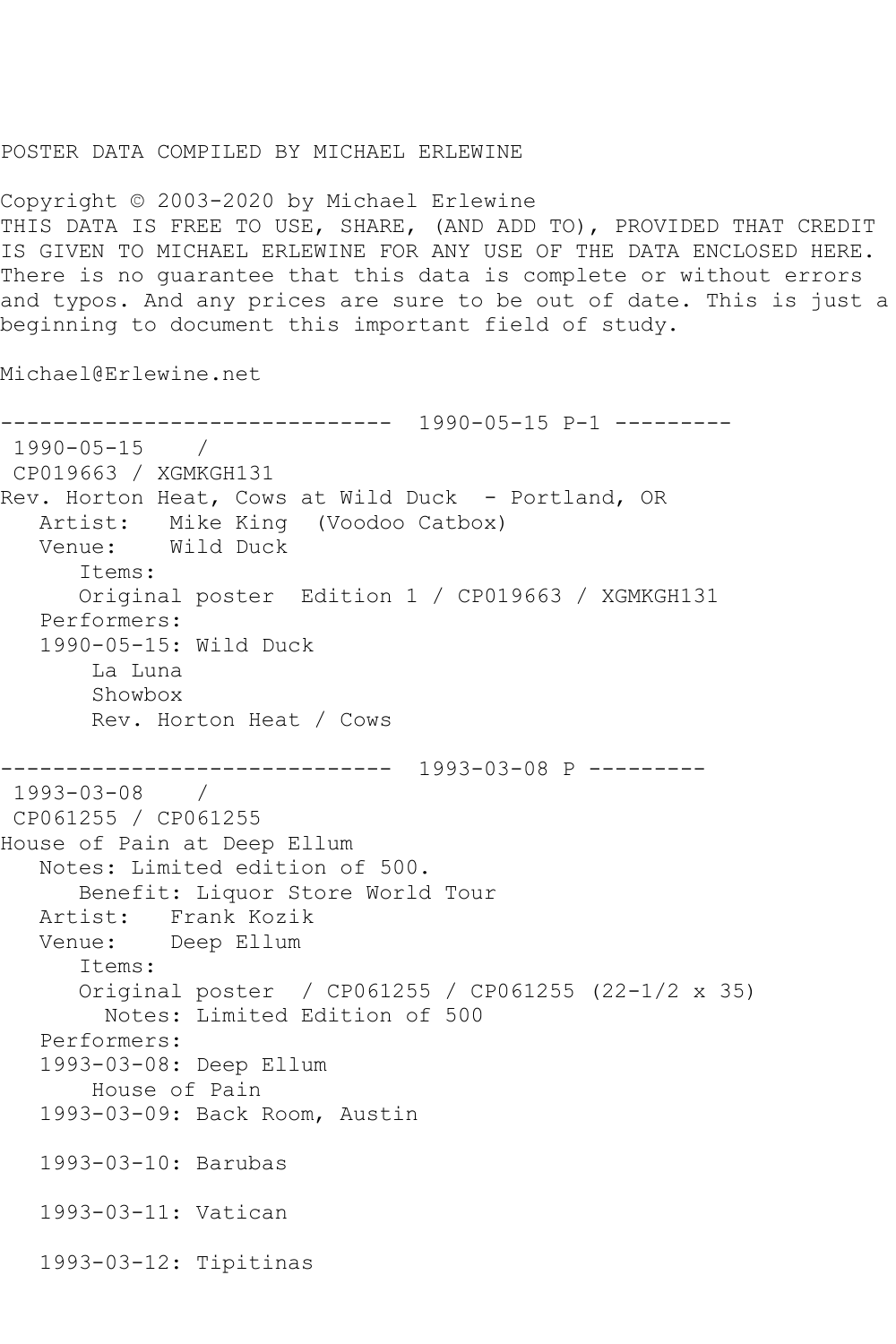## POSTER DATA COMPILED BY MICHAEL ERLEWINE

Copyright © 2003-2020 by Michael Erlewine THIS DATA IS FREE TO USE, SHARE, (AND ADD TO), PROVIDED THAT CREDIT IS GIVEN TO MICHAEL ERLEWINE FOR ANY USE OF THE DATA ENCLOSED HERE. There is no guarantee that this data is complete or without errors and typos. And any prices are sure to be out of date. This is just a beginning to document this important field of study.

Michael@Erlewine.net

------------------------------ 1990-05-15 P-1 --------- 1990-05-15 / CP019663 / XGMKGH131 Rev. Horton Heat, Cows at Wild Duck - Portland, OR Artist: Mike King (Voodoo Catbox) Venue: Wild Duck Items: Original poster Edition 1 / CP019663 / XGMKGH131 Performers: 1990-05-15: Wild Duck La Luna Showbox Rev. Horton Heat / Cows ------------------------------ 1993-03-08 P --------- 1993-03-08 / CP061255 / CP061255 House of Pain at Deep Ellum Notes: Limited edition of 500. Benefit: Liquor Store World Tour Artist: Frank Kozik Venue: Deep Ellum Items: Original poster / CP061255 / CP061255 (22-1/2 x 35) Notes: Limited Edition of 500 Performers: 1993-03-08: Deep Ellum House of Pain 1993-03-09: Back Room, Austin 1993-03-10: Barubas 1993-03-11: Vatican 1993-03-12: Tipitinas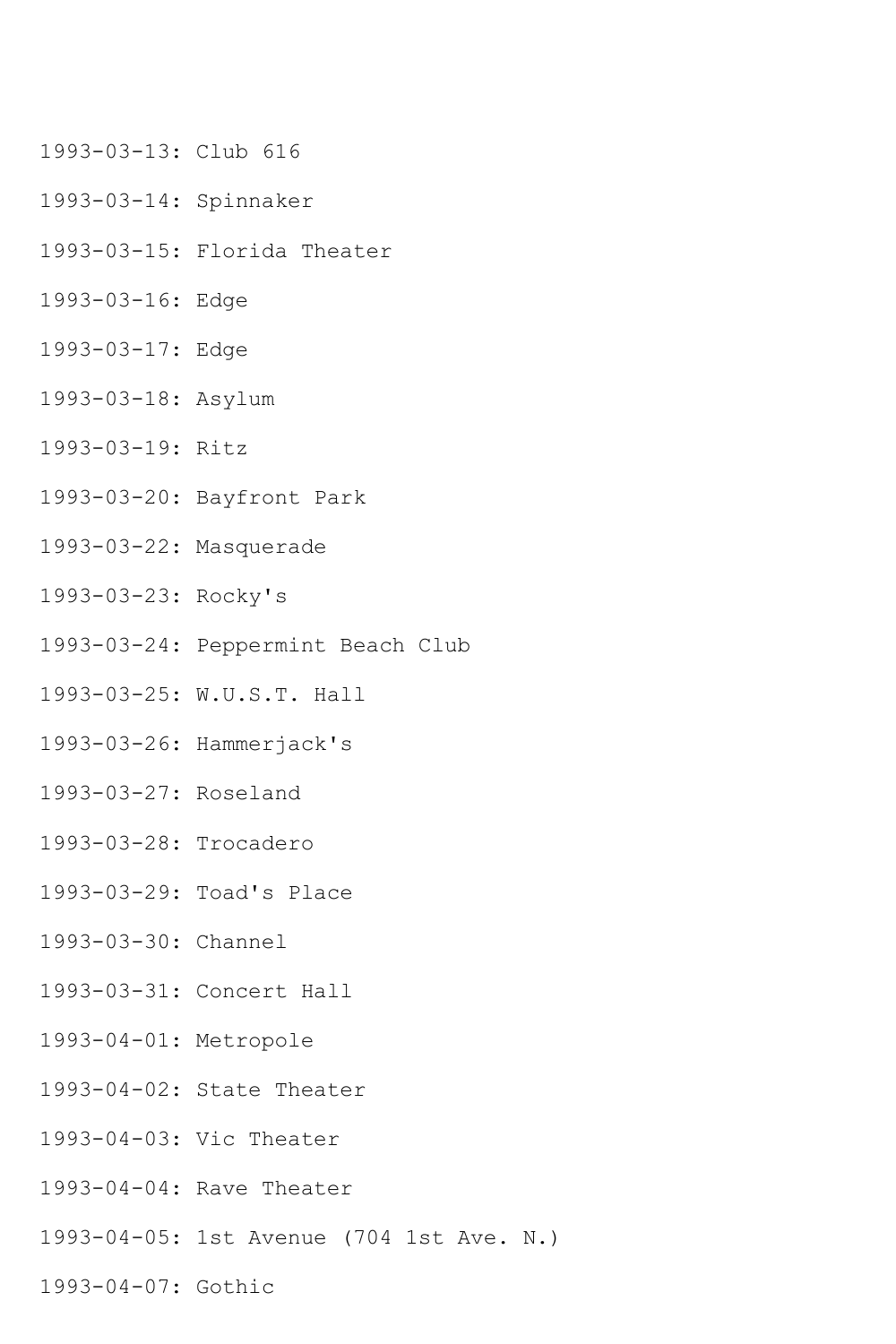- 1993-03-13: Club 616
- 1993-03-14: Spinnaker
- 1993-03-15: Florida Theater
- 1993-03-16: Edge
- 1993-03-17: Edge
- 1993-03-18: Asylum
- 1993-03-19: Ritz
- 1993-03-20: Bayfront Park
- 1993-03-22: Masquerade
- 1993-03-23: Rocky's
- 1993-03-24: Peppermint Beach Club
- 1993-03-25: W.U.S.T. Hall
- 1993-03-26: Hammerjack's
- 1993-03-27: Roseland
- 1993-03-28: Trocadero
- 1993-03-29: Toad's Place
- 1993-03-30: Channel
- 1993-03-31: Concert Hall
- 1993-04-01: Metropole
- 1993-04-02: State Theater
- 1993-04-03: Vic Theater
- 1993-04-04: Rave Theater
- 1993-04-05: 1st Avenue (704 1st Ave. N.)
- 1993-04-07: Gothic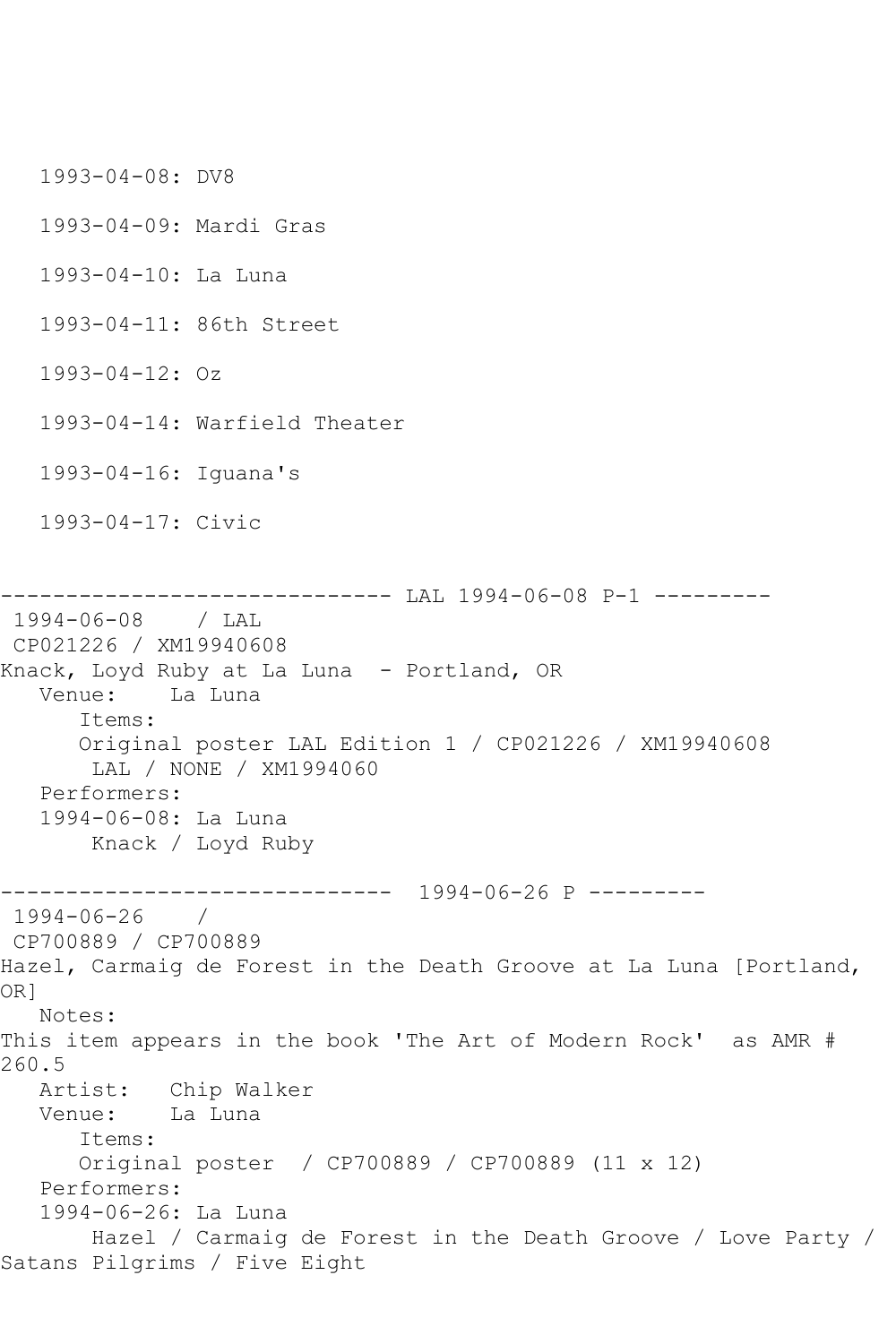1993-04-08: DV8 1993-04-09: Mardi Gras 1993-04-10: La Luna 1993-04-11: 86th Street 1993-04-12: Oz 1993-04-14: Warfield Theater 1993-04-16: Iguana's 1993-04-17: Civic ------------------------------ LAL 1994-06-08 P-1 --------- 1994-06-08 / LAL CP021226 / XM19940608 Knack, Loyd Ruby at La Luna - Portland, OR Venue: La Luna Items: Original poster LAL Edition 1 / CP021226 / XM19940608 LAL / NONE / XM1994060 Performers: 1994-06-08: La Luna Knack / Loyd Ruby ------------------------------ 1994-06-26 P --------- 1994-06-26 / CP700889 / CP700889 Hazel, Carmaig de Forest in the Death Groove at La Luna [Portland, OR] Notes: This item appears in the book 'The Art of Modern Rock' as AMR # 260.5 Artist: Chip Walker<br>Venue: La Luna La Luna Items: Original poster / CP700889 / CP700889 (11 x 12) Performers: 1994-06-26: La Luna Hazel / Carmaig de Forest in the Death Groove / Love Party / Satans Pilgrims / Five Eight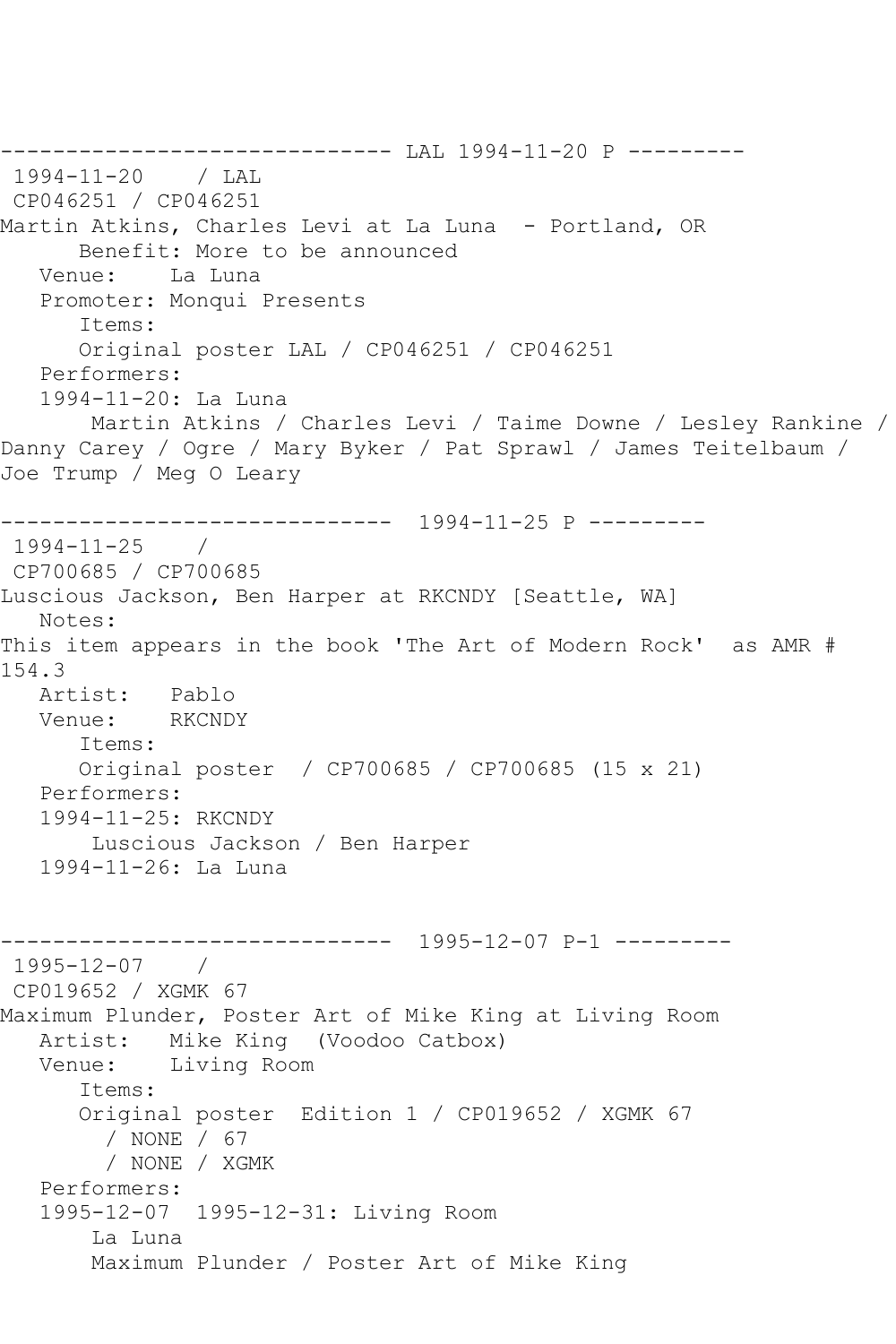----------------------------------- LAL 1994-11-20 P ----------<br>1994-11-20 / LAL 1994-11-20 CP046251 / CP046251 Martin Atkins, Charles Levi at La Luna - Portland, OR Benefit: More to be announced Venue: La Luna Promoter: Monqui Presents Items: Original poster LAL / CP046251 / CP046251 Performers: 1994-11-20: La Luna Martin Atkins / Charles Levi / Taime Downe / Lesley Rankine / Danny Carey / Ogre / Mary Byker / Pat Sprawl / James Teitelbaum / Joe Trump / Meg O Leary ------------------------------ 1994-11-25 P --------- 1994-11-25 / CP700685 / CP700685 Luscious Jackson, Ben Harper at RKCNDY [Seattle, WA] Notes: This item appears in the book 'The Art of Modern Rock' as AMR # 154.3 Artist: Pablo Venue: RKCNDY Items: Original poster / CP700685 / CP700685 (15 x 21) Performers: 1994-11-25: RKCNDY Luscious Jackson / Ben Harper 1994-11-26: La Luna ------------------------------ 1995-12-07 P-1 --------- 1995-12-07 / CP019652 / XGMK 67 Maximum Plunder, Poster Art of Mike King at Living Room Artist: Mike King (Voodoo Catbox) Venue: Living Room Items: Original poster Edition 1 / CP019652 / XGMK 67 / NONE / 67 / NONE / XGMK Performers: 1995-12-07 1995-12-31: Living Room La Luna Maximum Plunder / Poster Art of Mike King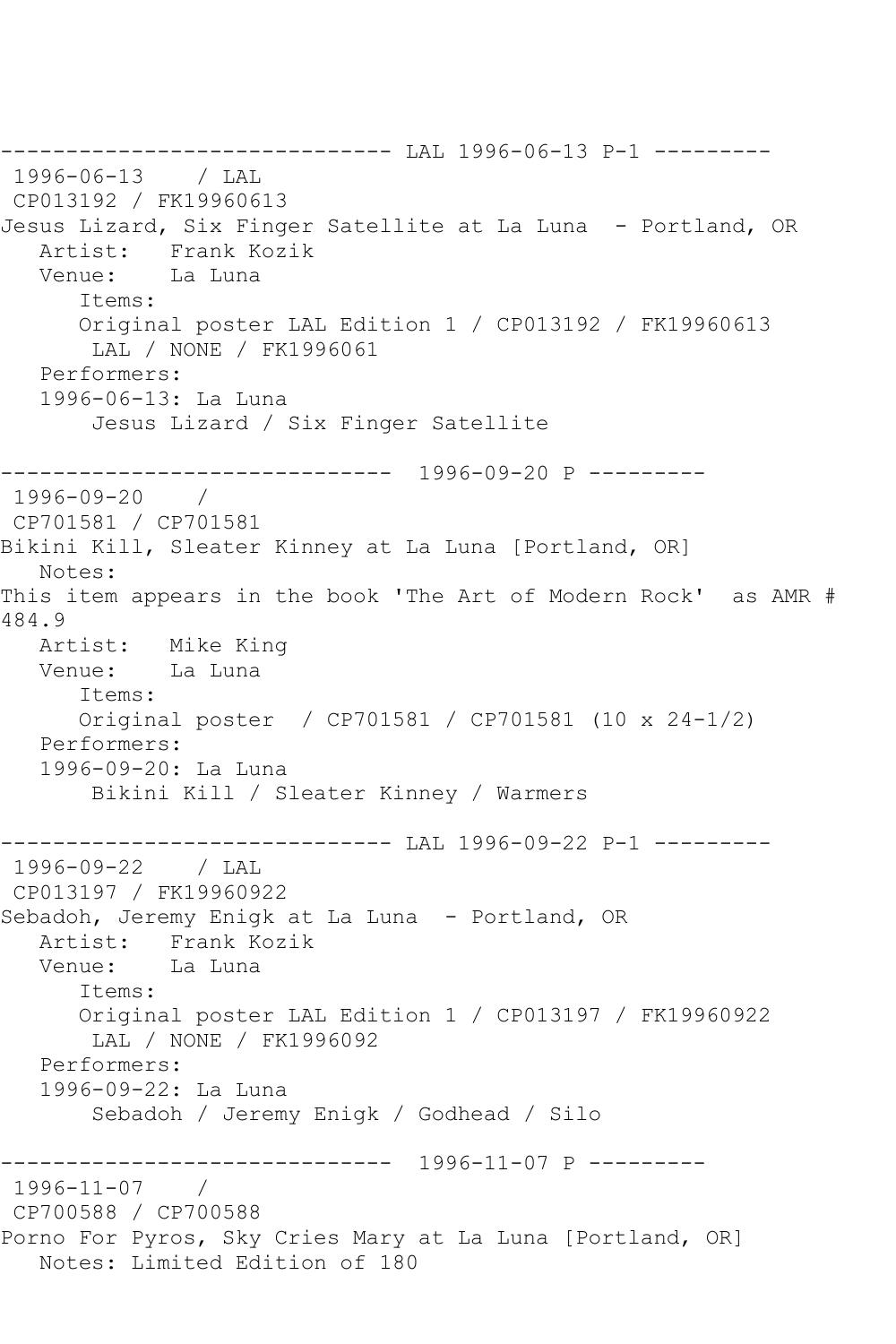------------------------------ LAL 1996-06-13 P-1 --------- 1996-06-13 / LAL CP013192 / FK19960613 Jesus Lizard, Six Finger Satellite at La Luna - Portland, OR Artist: Frank Kozik Venue: La Luna Items: Original poster LAL Edition 1 / CP013192 / FK19960613 LAL / NONE / FK1996061 Performers: 1996-06-13: La Luna Jesus Lizard / Six Finger Satellite ------------------------------ 1996-09-20 P --------- 1996-09-20 / CP701581 / CP701581 Bikini Kill, Sleater Kinney at La Luna [Portland, OR] Notes: This item appears in the book 'The Art of Modern Rock' as AMR # 484.9 Artist: Mike King Venue: La Luna Items: Original poster / CP701581 / CP701581 (10 x 24-1/2) Performers: 1996-09-20: La Luna Bikini Kill / Sleater Kinney / Warmers ------------------------------ LAL 1996-09-22 P-1 --------- 1996-09-22 / LAL CP013197 / FK19960922 Sebadoh, Jeremy Enigk at La Luna - Portland, OR Artist: Frank Kozik<br>Venue: La Luna La Luna Items: Original poster LAL Edition 1 / CP013197 / FK19960922 LAL / NONE / FK1996092 Performers: 1996-09-22: La Luna Sebadoh / Jeremy Enigk / Godhead / Silo ------------------------------ 1996-11-07 P --------- 1996-11-07 / CP700588 / CP700588 Porno For Pyros, Sky Cries Mary at La Luna [Portland, OR] Notes: Limited Edition of 180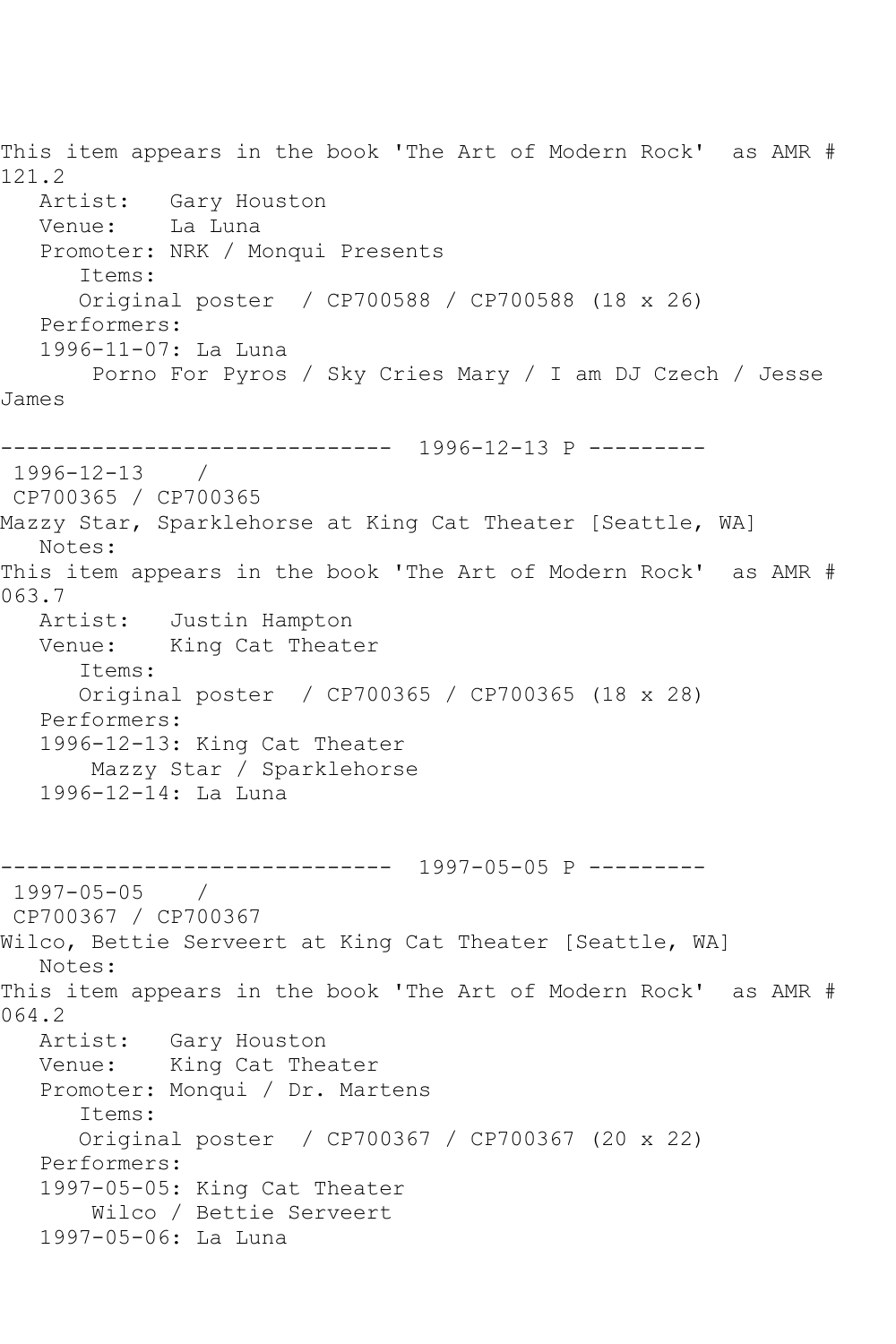This item appears in the book 'The Art of Modern Rock' as AMR # 121.2 Artist: Gary Houston Venue: La Luna Promoter: NRK / Monqui Presents Items: Original poster / CP700588 / CP700588 (18 x 26) Performers: 1996-11-07: La Luna Porno For Pyros / Sky Cries Mary / I am DJ Czech / Jesse James ------------------------------ 1996-12-13 P --------- 1996-12-13 / CP700365 / CP700365 Mazzy Star, Sparklehorse at King Cat Theater [Seattle, WA] Notes: This item appears in the book 'The Art of Modern Rock' as AMR # 063.7 Artist: Justin Hampton Venue: King Cat Theater Items: Original poster / CP700365 / CP700365 (18 x 28) Performers: 1996-12-13: King Cat Theater Mazzy Star / Sparklehorse 1996-12-14: La Luna ------------------------------ 1997-05-05 P --------- 1997-05-05 / CP700367 / CP700367 Wilco, Bettie Serveert at King Cat Theater [Seattle, WA] Notes: This item appears in the book 'The Art of Modern Rock' as AMR # 064.2 Artist: Gary Houston Venue: King Cat Theater Promoter: Monqui / Dr. Martens Items: Original poster / CP700367 / CP700367 (20 x 22) Performers: 1997-05-05: King Cat Theater Wilco / Bettie Serveert 1997-05-06: La Luna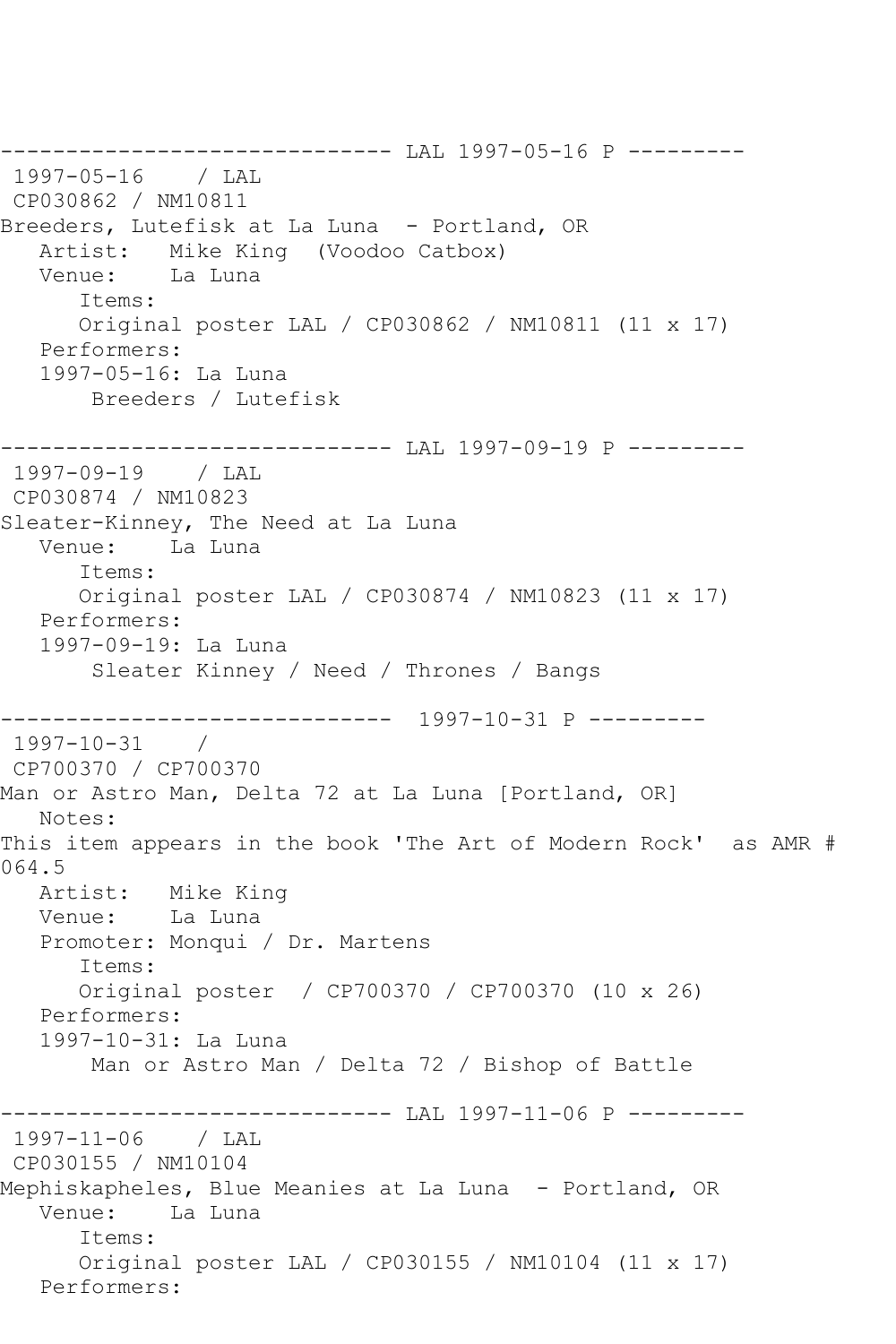------------------------------ LAL 1997-05-16 P --------- 1997-05-16 / LAL CP030862 / NM10811 Breeders, Lutefisk at La Luna - Portland, OR Artist: Mike King (Voodoo Catbox) Venue: La Luna Items: Original poster LAL / CP030862 / NM10811 (11 x 17) Performers: 1997-05-16: La Luna Breeders / Lutefisk ------------------------------ LAL 1997-09-19 P --------- 1997-09-19 / LAL CP030874 / NM10823 Sleater-Kinney, The Need at La Luna Venue: La Luna Items: Original poster LAL / CP030874 / NM10823 (11 x 17) Performers: 1997-09-19: La Luna Sleater Kinney / Need / Thrones / Bangs ------------------------------ 1997-10-31 P --------- 1997-10-31 / CP700370 / CP700370 Man or Astro Man, Delta 72 at La Luna [Portland, OR] Notes: This item appears in the book 'The Art of Modern Rock' as AMR # 064.5<br>: Artist Mike King Venue: La Luna Promoter: Monqui / Dr. Martens Items: Original poster / CP700370 / CP700370 (10 x 26) Performers: 1997-10-31: La Luna Man or Astro Man / Delta 72 / Bishop of Battle ------------------------------ LAL 1997-11-06 P --------- 1997-11-06 / LAL CP030155 / NM10104 Mephiskapheles, Blue Meanies at La Luna - Portland, OR Venue: La Luna Items: Original poster LAL / CP030155 / NM10104 (11 x 17) Performers: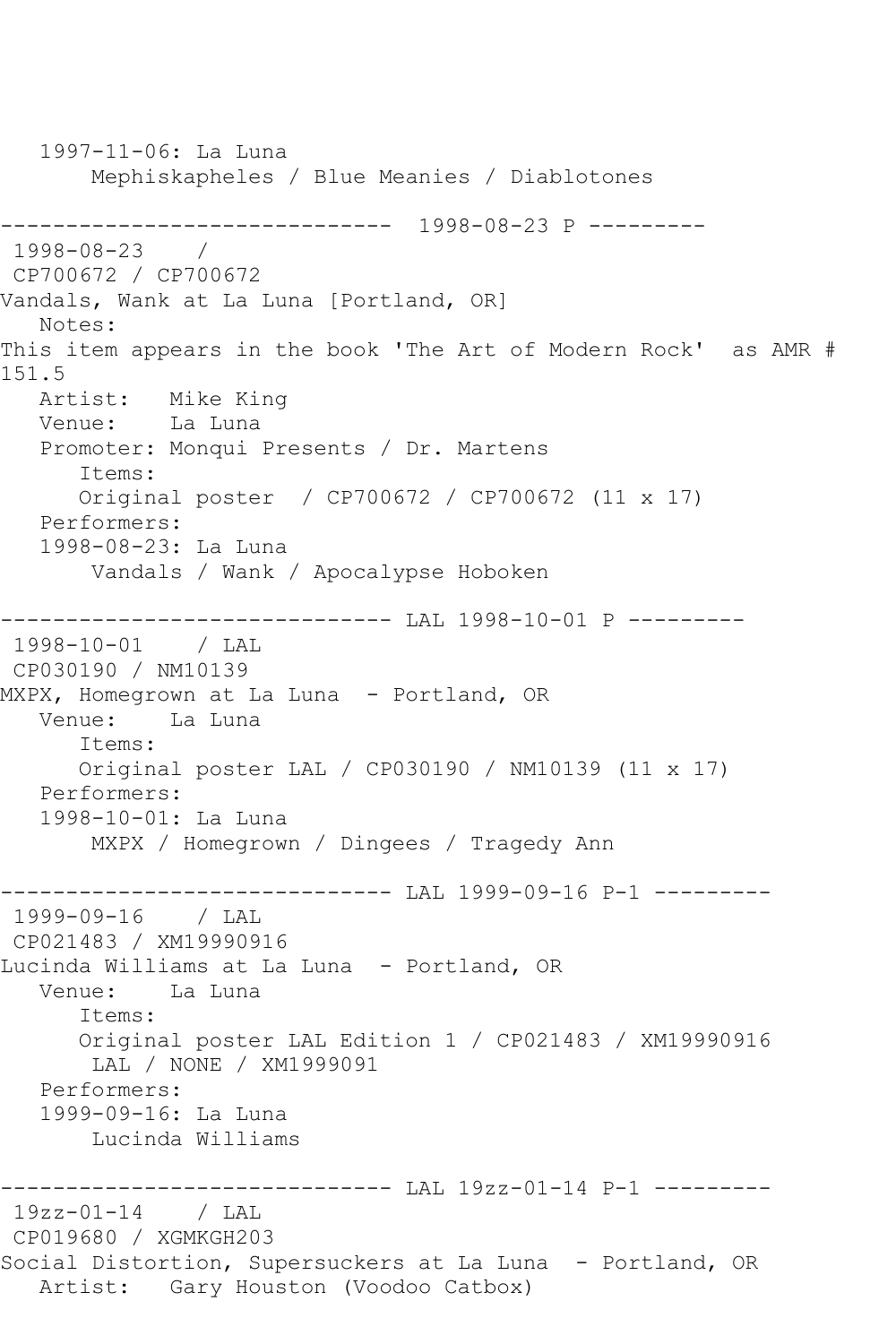1997-11-06: La Luna Mephiskapheles / Blue Meanies / Diablotones ------------------------------ 1998-08-23 P --------- 1998-08-23 / CP700672 / CP700672 Vandals, Wank at La Luna [Portland, OR] Notes: This item appears in the book 'The Art of Modern Rock' as AMR # 151.5<br>: Artist Mike King Venue: La Luna Promoter: Monqui Presents / Dr. Martens Items: Original poster / CP700672 / CP700672 (11 x 17) Performers: 1998-08-23: La Luna Vandals / Wank / Apocalypse Hoboken ------------------------------ LAL 1998-10-01 P --------- 1998-10-01 / LAL CP030190 / NM10139 MXPX, Homegrown at La Luna – Portland, OR<br>Venue: La Luna La Luna Items: Original poster LAL / CP030190 / NM10139 (11 x 17) Performers: 1998-10-01: La Luna MXPX / Homegrown / Dingees / Tragedy Ann ------------------------------ LAL 1999-09-16 P-1 --------- 1999-09-16 / LAL CP021483 / XM19990916 Lucinda Williams at La Luna - Portland, OR Venue: La Luna Items: Original poster LAL Edition 1 / CP021483 / XM19990916 LAL / NONE / XM1999091 Performers: 1999-09-16: La Luna Lucinda Williams ------------------------------ LAL 19zz-01-14 P-1 --------- 19zz-01-14 / LAL CP019680 / XGMKGH203 Social Distortion, Supersuckers at La Luna - Portland, OR Artist: Gary Houston (Voodoo Catbox)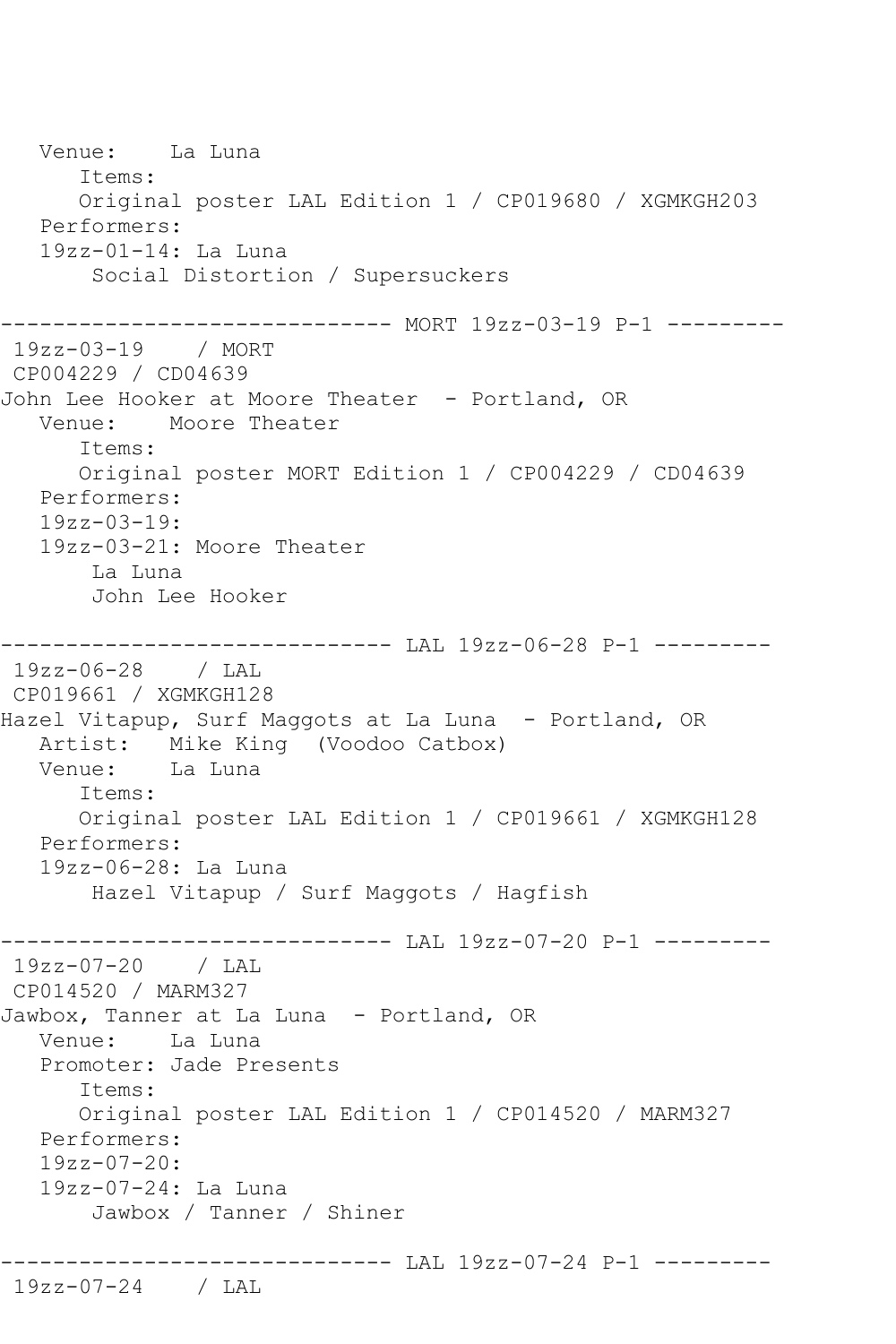Venue: La Luna Items: Original poster LAL Edition 1 / CP019680 / XGMKGH203 Performers: 19zz-01-14: La Luna Social Distortion / Supersuckers ------------------------------ MORT 19zz-03-19 P-1 --------- 19zz-03-19 / MORT CP004229 / CD04639 John Lee Hooker at Moore Theater - Portland, OR Venue: Moore Theater Items: Original poster MORT Edition 1 / CP004229 / CD04639 Performers: 19zz-03-19: 19zz-03-21: Moore Theater La Luna John Lee Hooker ------------------------------ LAL 19zz-06-28 P-1 --------- 19zz-06-28 / LAL CP019661 / XGMKGH128 Hazel Vitapup, Surf Maggots at La Luna - Portland, OR Artist: Mike King (Voodoo Catbox)<br>Venue: La Luna Venue: Items: Original poster LAL Edition 1 / CP019661 / XGMKGH128 Performers: 19zz-06-28: La Luna Hazel Vitapup / Surf Maggots / Hagfish ------------------------------ LAL 19zz-07-20 P-1 --------- 19zz-07-20 / LAL CP014520 / MARM327 Jawbox, Tanner at La Luna - Portland, OR Venue: La Luna Promoter: Jade Presents Items: Original poster LAL Edition 1 / CP014520 / MARM327 Performers: 19zz-07-20: 19zz-07-24: La Luna Jawbox / Tanner / Shiner ------------------------------ LAL 19zz-07-24 P-1 --------- 19zz-07-24 / LAL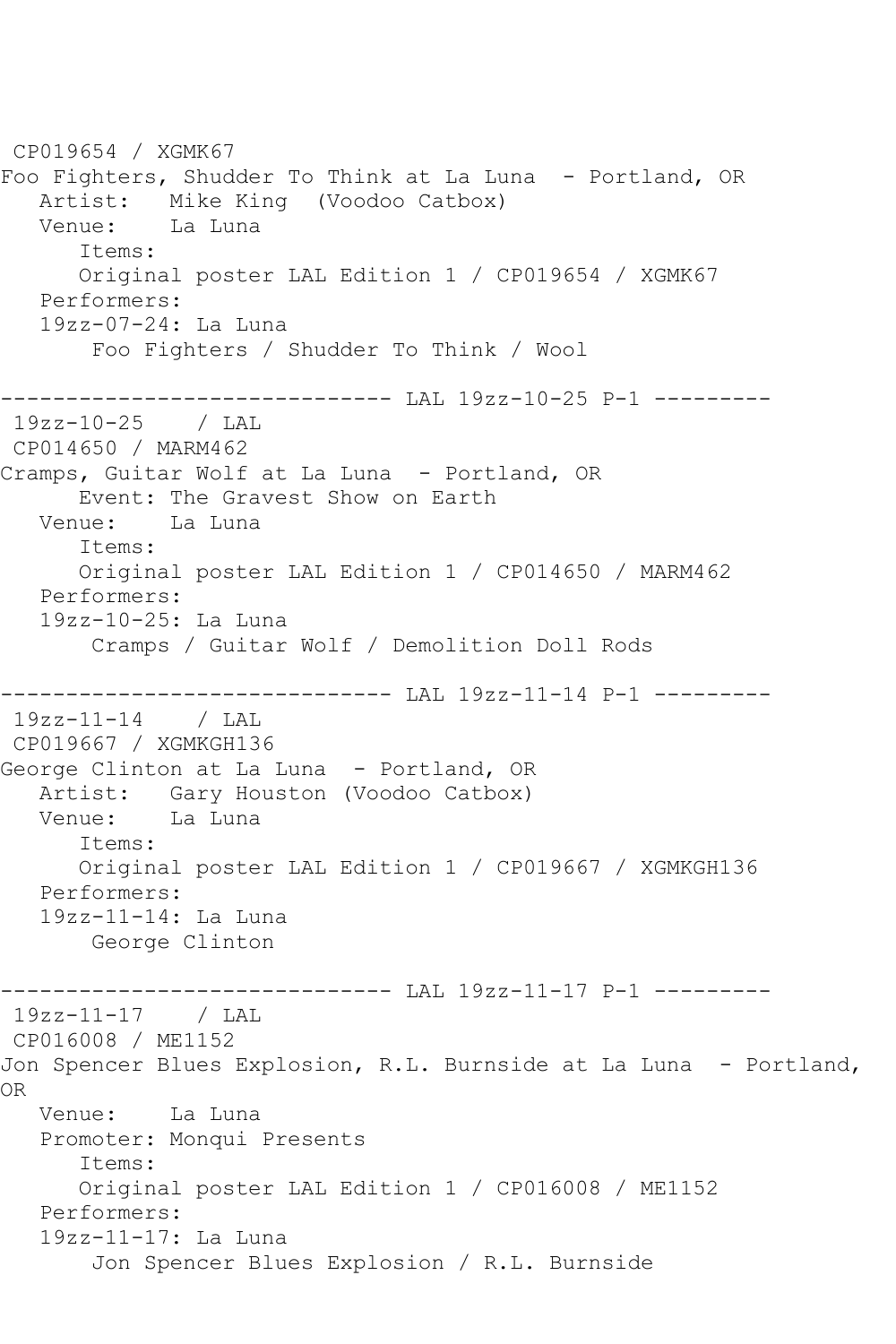CP019654 / XGMK67 Foo Fighters, Shudder To Think at La Luna - Portland, OR Artist: Mike King (Voodoo Catbox) Venue: La Luna Items: Original poster LAL Edition 1 / CP019654 / XGMK67 Performers: 19zz-07-24: La Luna Foo Fighters / Shudder To Think / Wool ------------------------------ LAL 19zz-10-25 P-1 --------- 19zz-10-25 / LAL CP014650 / MARM462 Cramps, Guitar Wolf at La Luna - Portland, OR Event: The Gravest Show on Earth Venue: La Luna Items: Original poster LAL Edition 1 / CP014650 / MARM462 Performers: 19zz-10-25: La Luna Cramps / Guitar Wolf / Demolition Doll Rods ------------------------------ LAL 19zz-11-14 P-1 --------- 19zz-11-14 / LAL CP019667 / XGMKGH136 George Clinton at La Luna - Portland, OR Artist: Gary Houston (Voodoo Catbox) Venue: La Luna Items: Original poster LAL Edition 1 / CP019667 / XGMKGH136 Performers: 19zz-11-14: La Luna George Clinton ----------- LAL 19zz-11-17 P-1 ---------19zz-11-17 / LAL CP016008 / ME1152 Jon Spencer Blues Explosion, R.L. Burnside at La Luna - Portland, OR Venue: La Luna Promoter: Monqui Presents Items: Original poster LAL Edition 1 / CP016008 / ME1152 Performers: 19zz-11-17: La Luna Jon Spencer Blues Explosion / R.L. Burnside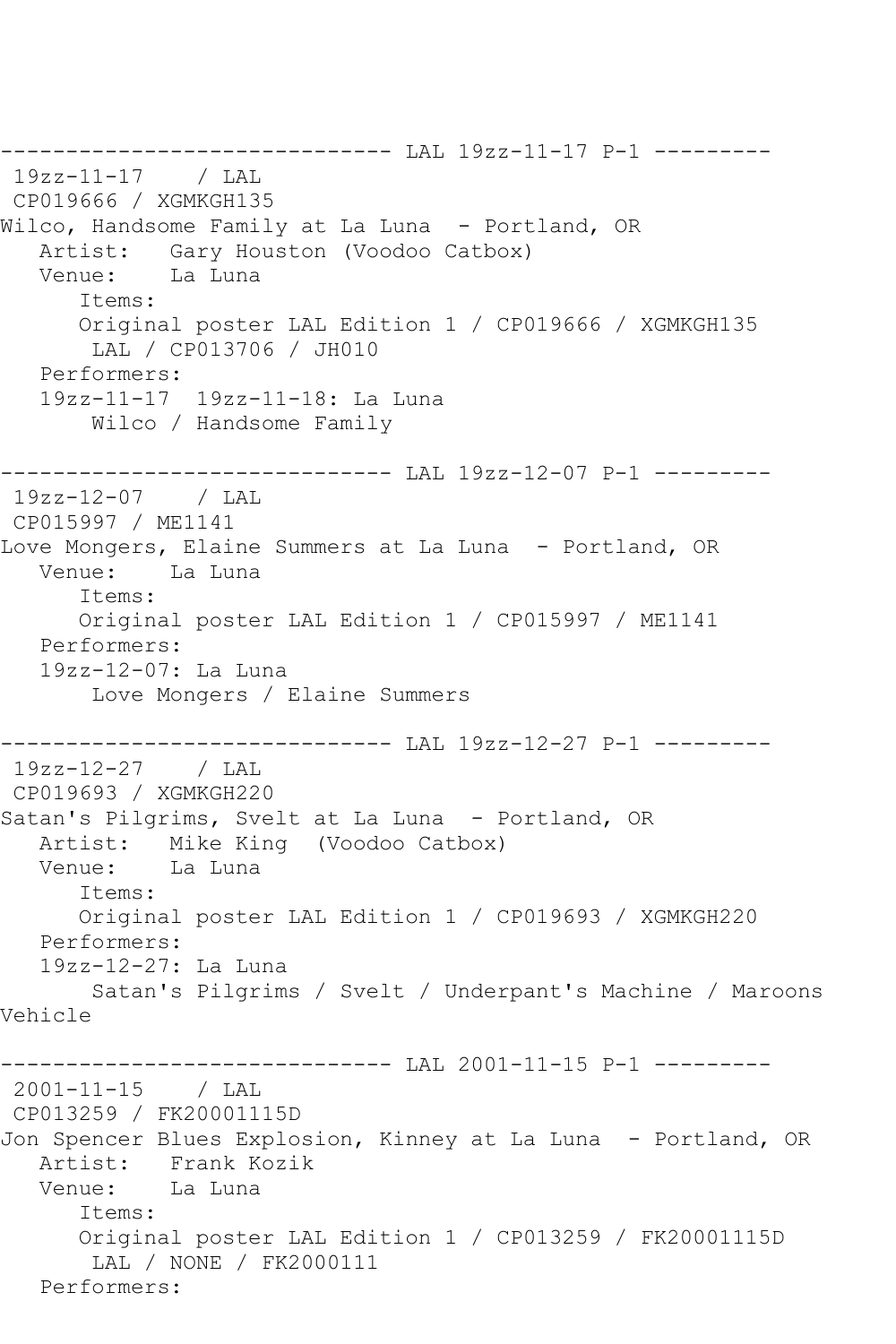------------------------------ LAL 19zz-11-17 P-1 --------- 19zz-11-17 / LAL CP019666 / XGMKGH135 Wilco, Handsome Family at La Luna - Portland, OR Artist: Gary Houston (Voodoo Catbox) Venue: La Luna Items: Original poster LAL Edition 1 / CP019666 / XGMKGH135 LAL / CP013706 / JH010 Performers: 19zz-11-17 19zz-11-18: La Luna Wilco / Handsome Family ------------------------------ LAL 19zz-12-07 P-1 --------- 19zz-12-07 / LAL CP015997 / ME1141 Love Mongers, Elaine Summers at La Luna - Portland, OR Venue: La Luna Items: Original poster LAL Edition 1 / CP015997 / ME1141 Performers: 19zz-12-07: La Luna Love Mongers / Elaine Summers ------------------------------ LAL 19zz-12-27 P-1 --------- 19zz-12-27 / LAL CP019693 / XGMKGH220 Satan's Pilgrims, Svelt at La Luna - Portland, OR Artist: Mike King (Voodoo Catbox) Venue: La Luna Items: Original poster LAL Edition 1 / CP019693 / XGMKGH220 Performers: 19zz-12-27: La Luna Satan's Pilgrims / Svelt / Underpant's Machine / Maroons Vehicle ------------------------------ LAL 2001-11-15 P-1 --------- 2001-11-15 / LAL CP013259 / FK20001115D Jon Spencer Blues Explosion, Kinney at La Luna - Portland, OR Artist: Frank Kozik Venue: La Luna Items: Original poster LAL Edition 1 / CP013259 / FK20001115D LAL / NONE / FK2000111 Performers: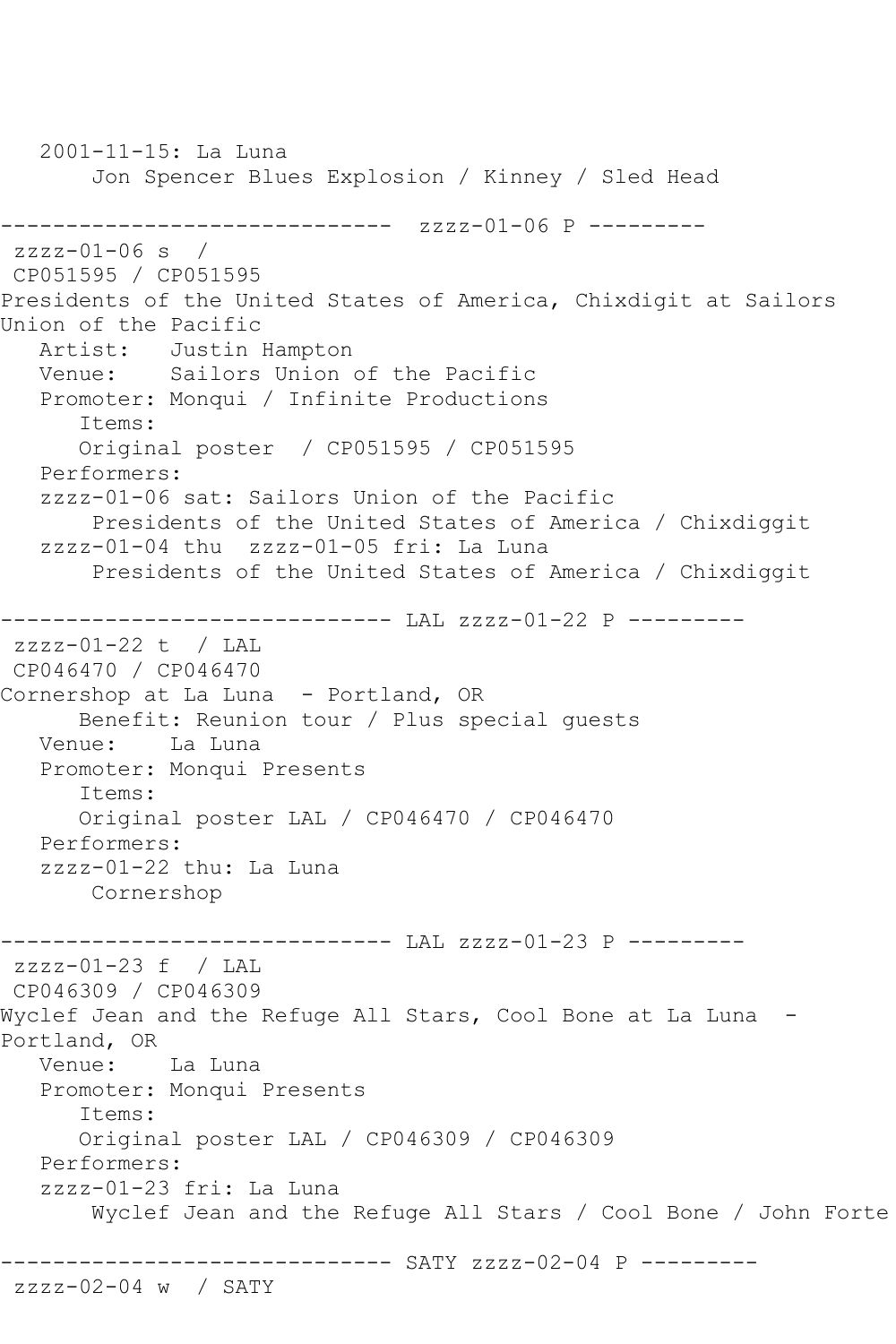2001-11-15: La Luna Jon Spencer Blues Explosion / Kinney / Sled Head ------------------------------ zzzz-01-06 P -------- zzzz-01-06 s / CP051595 / CP051595 Presidents of the United States of America, Chixdigit at Sailors Union of the Pacific Artist: Justin Hampton Venue: Sailors Union of the Pacific Promoter: Monqui / Infinite Productions Items: Original poster / CP051595 / CP051595 Performers: zzzz-01-06 sat: Sailors Union of the Pacific Presidents of the United States of America / Chixdiggit zzzz-01-04 thu zzzz-01-05 fri: La Luna Presidents of the United States of America / Chixdiggit ------------------------------ LAL zzzz-01-22 P -------- zzzz-01-22 t / LAL CP046470 / CP046470 Cornershop at La Luna - Portland, OR Benefit: Reunion tour / Plus special guests Venue: La Luna Promoter: Monqui Presents Items: Original poster LAL / CP046470 / CP046470 Performers: zzzz-01-22 thu: La Luna Cornershop ------------------------------ LAL zzzz-01-23 P --------  $zzzz-01-23$  f / LAL CP046309 / CP046309 Wyclef Jean and the Refuge All Stars, Cool Bone at La Luna - Portland, OR Venue: La Luna Promoter: Monqui Presents Items: Original poster LAL / CP046309 / CP046309 Performers: zzzz-01-23 fri: La Luna Wyclef Jean and the Refuge All Stars / Cool Bone / John Forte ------------------------------ SATY zzzz-02-04 P -------- zzzz-02-04 w / SATY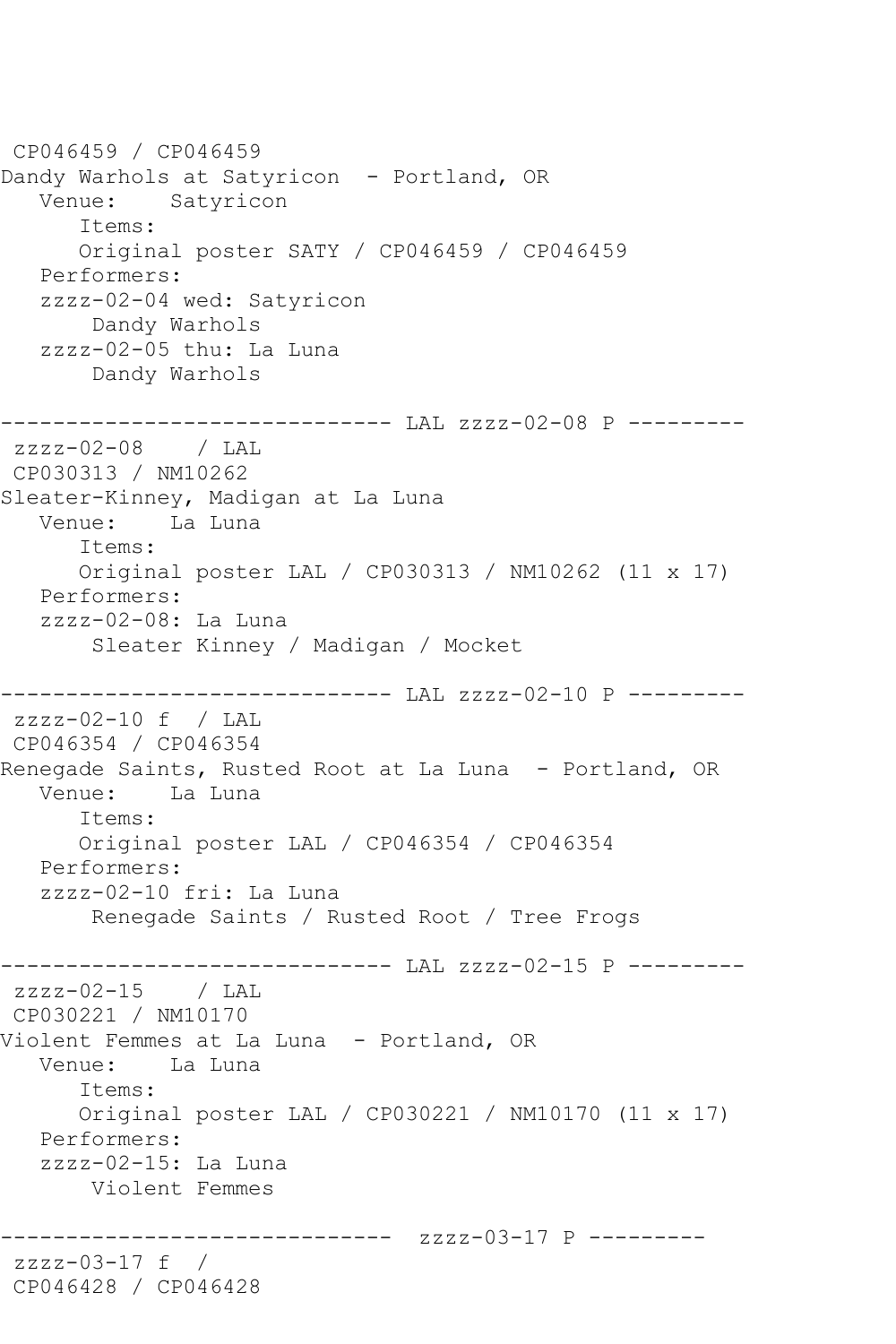CP046459 / CP046459 Dandy Warhols at Satyricon - Portland, OR Venue: Satyricon Items: Original poster SATY / CP046459 / CP046459 Performers: zzzz-02-04 wed: Satyricon Dandy Warhols zzzz-02-05 thu: La Luna Dandy Warhols ------------------------------ LAL zzzz-02-08 P -------- zzzz-02-08 / LAL CP030313 / NM10262 Sleater-Kinney, Madigan at La Luna Venue: La Luna Items: Original poster LAL / CP030313 / NM10262 (11 x 17) Performers: zzzz-02-08: La Luna Sleater Kinney / Madigan / Mocket ------------------------------ LAL zzzz-02-10 P -------- zzzz-02-10 f / LAL CP046354 / CP046354 Renegade Saints, Rusted Root at La Luna - Portland, OR<br>Venue: La Luna La Luna Items: Original poster LAL / CP046354 / CP046354 Performers: zzzz-02-10 fri: La Luna Renegade Saints / Rusted Root / Tree Frogs ------------------------------ LAL zzzz-02-15 P -------- zzzz-02-15 / LAL CP030221 / NM10170 Violent Femmes at La Luna - Portland, OR Venue: La Luna Items: Original poster LAL / CP030221 / NM10170 (11 x 17) Performers: zzzz-02-15: La Luna Violent Femmes ------------------------------ zzzz-03-17 P -------- zzzz-03-17 f / CP046428 / CP046428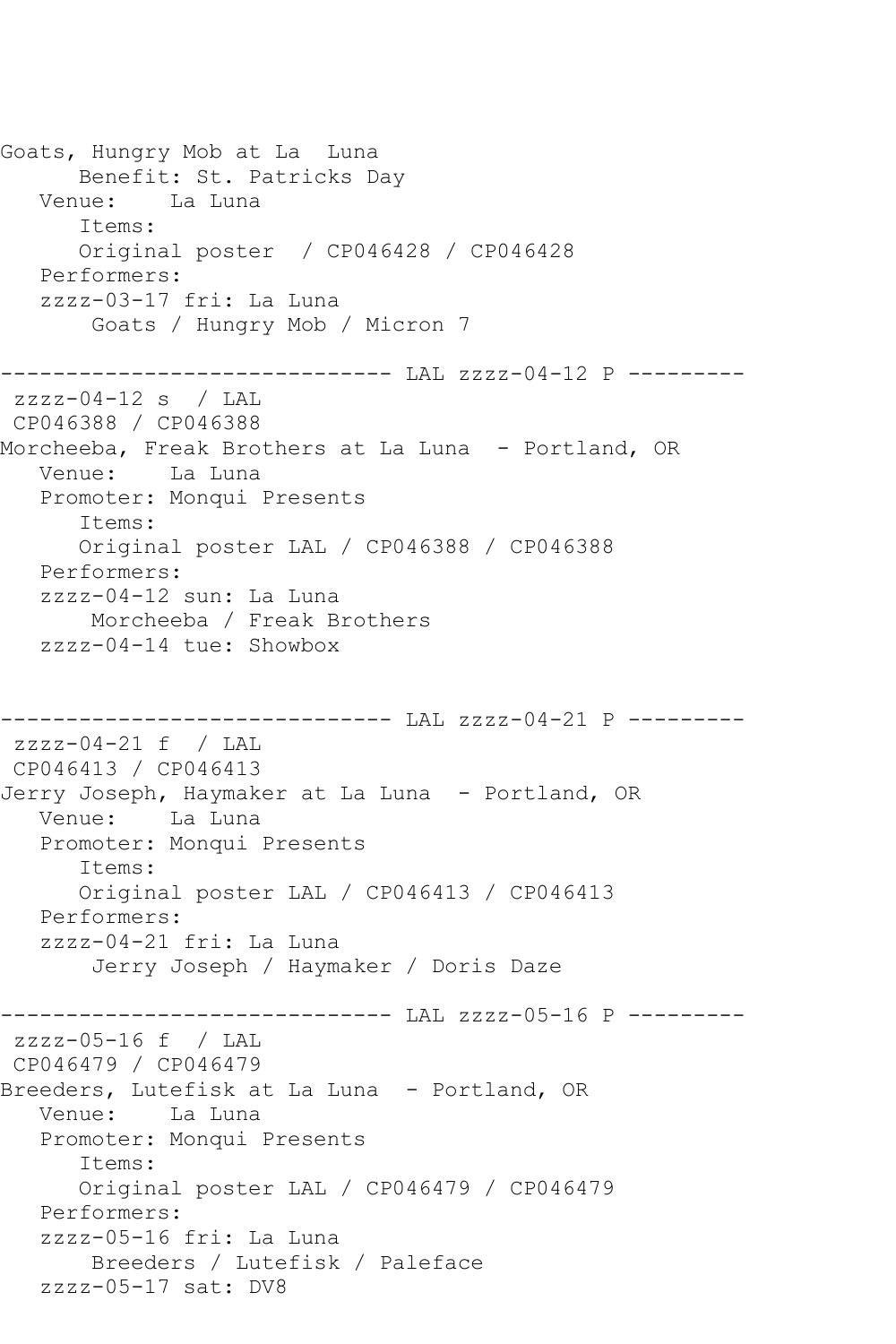Goats, Hungry Mob at La Luna Benefit: St. Patricks Day Venue: La Luna Items: Original poster / CP046428 / CP046428 Performers: zzzz-03-17 fri: La Luna Goats / Hungry Mob / Micron 7 ------------------------------ LAL zzzz-04-12 P --------  $zzzz-04-12$  s / LAL CP046388 / CP046388 Morcheeba, Freak Brothers at La Luna - Portland, OR Venue: La Luna Promoter: Monqui Presents Items: Original poster LAL / CP046388 / CP046388 Performers: zzzz-04-12 sun: La Luna Morcheeba / Freak Brothers zzzz-04-14 tue: Showbox ------------------------------ LAL zzzz-04-21 P -------- zzzz-04-21 f / LAL CP046413 / CP046413 Jerry Joseph, Haymaker at La Luna - Portland, OR Venue: La Luna Promoter: Monqui Presents Items: Original poster LAL / CP046413 / CP046413 Performers: zzzz-04-21 fri: La Luna Jerry Joseph / Haymaker / Doris Daze ------------------------------ LAL zzzz-05-16 P -------- zzzz-05-16 f / LAL CP046479 / CP046479 Breeders, Lutefisk at La Luna - Portland, OR Venue: La Luna Promoter: Monqui Presents Items: Original poster LAL / CP046479 / CP046479 Performers: zzzz-05-16 fri: La Luna Breeders / Lutefisk / Paleface zzzz-05-17 sat: DV8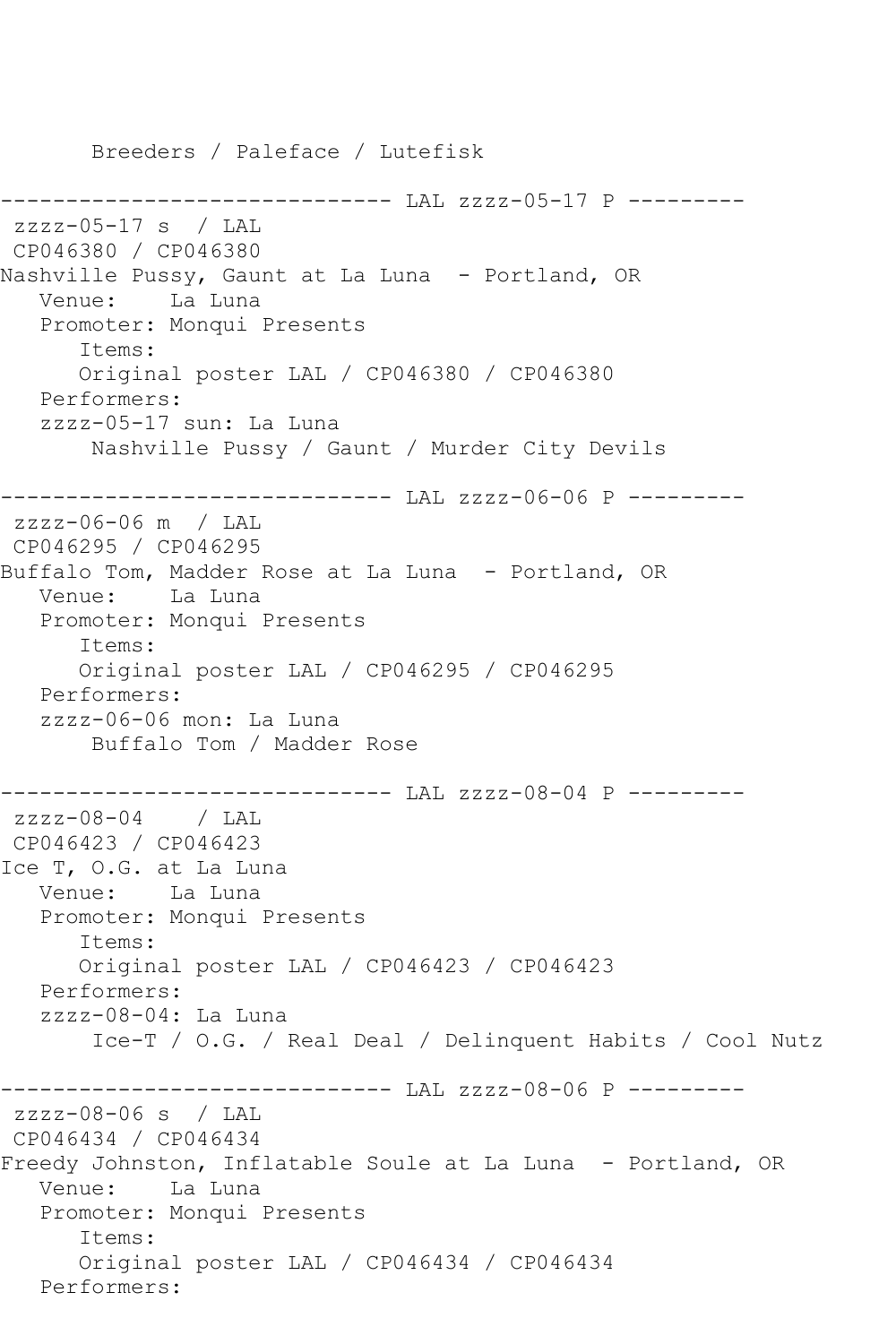Breeders / Paleface / Lutefisk ------------------------------ LAL zzzz-05-17 P -------- zzzz-05-17 s / LAL CP046380 / CP046380 Nashville Pussy, Gaunt at La Luna - Portland, OR Venue: La Luna Promoter: Monqui Presents Items: Original poster LAL / CP046380 / CP046380 Performers: zzzz-05-17 sun: La Luna Nashville Pussy / Gaunt / Murder City Devils ------------------------------ LAL zzzz-06-06 P -------- zzzz-06-06 m / LAL CP046295 / CP046295 Buffalo Tom, Madder Rose at La Luna - Portland, OR Venue: La Luna Promoter: Monqui Presents Items: Original poster LAL / CP046295 / CP046295 Performers: zzzz-06-06 mon: La Luna Buffalo Tom / Madder Rose ------------------------------ LAL zzzz-08-04 P -------- zzzz-08-04 / LAL CP046423 / CP046423 Ice T, O.G. at La Luna Venue: La Luna Promoter: Monqui Presents Items: Original poster LAL / CP046423 / CP046423 Performers: zzzz-08-04: La Luna Ice-T / O.G. / Real Deal / Delinquent Habits / Cool Nutz ------------------------------ LAL zzzz-08-06 P --------  $zzzz-08-06$  s / LAL CP046434 / CP046434 Freedy Johnston, Inflatable Soule at La Luna - Portland, OR Venue: La Luna Promoter: Monqui Presents Items: Original poster LAL / CP046434 / CP046434 Performers: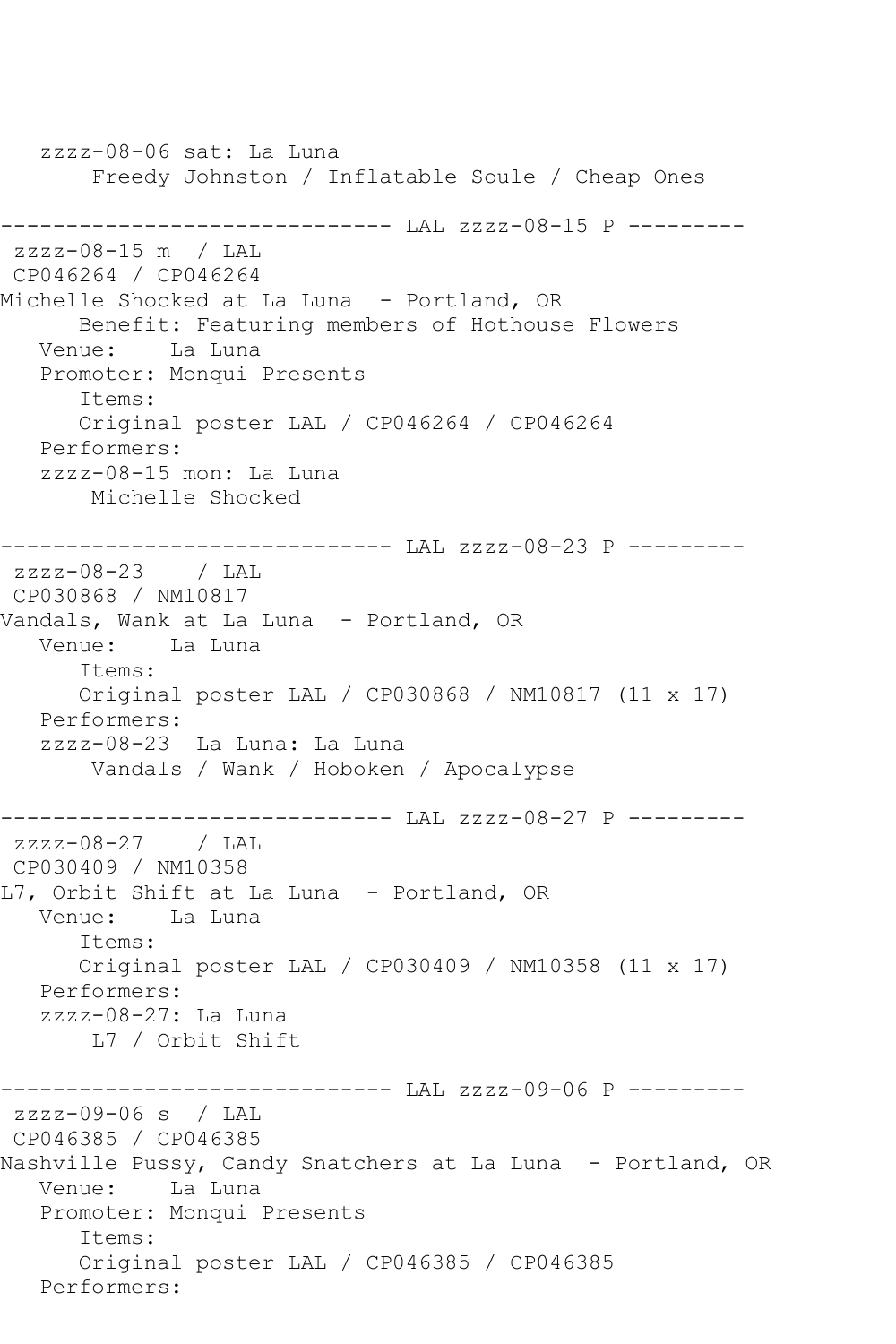zzzz-08-06 sat: La Luna Freedy Johnston / Inflatable Soule / Cheap Ones ------------------------------ LAL zzzz-08-15 P -------- zzzz-08-15 m / LAL CP046264 / CP046264 Michelle Shocked at La Luna - Portland, OR Benefit: Featuring members of Hothouse Flowers Venue: La Luna Promoter: Monqui Presents Items: Original poster LAL / CP046264 / CP046264 Performers: zzzz-08-15 mon: La Luna Michelle Shocked ------------------------------ LAL zzzz-08-23 P -------- zzzz-08-23 / LAL CP030868 / NM10817 Vandals, Wank at La Luna - Portland, OR Venue: La Luna Items: Original poster LAL / CP030868 / NM10817 (11 x 17) Performers: zzzz-08-23 La Luna: La Luna Vandals / Wank / Hoboken / Apocalypse ------------------------------ LAL zzzz-08-27 P -------- zzzz-08-27 / LAL CP030409 / NM10358 L7, Orbit Shift at La Luna - Portland, OR Venue: La Luna Items: Original poster LAL / CP030409 / NM10358 (11 x 17) Performers: zzzz-08-27: La Luna L7 / Orbit Shift ------------------------------ LAL zzzz-09-06 P -------- zzzz-09-06 s / LAL CP046385 / CP046385 Nashville Pussy, Candy Snatchers at La Luna - Portland, OR Venue: La Luna Promoter: Monqui Presents Items: Original poster LAL / CP046385 / CP046385 Performers: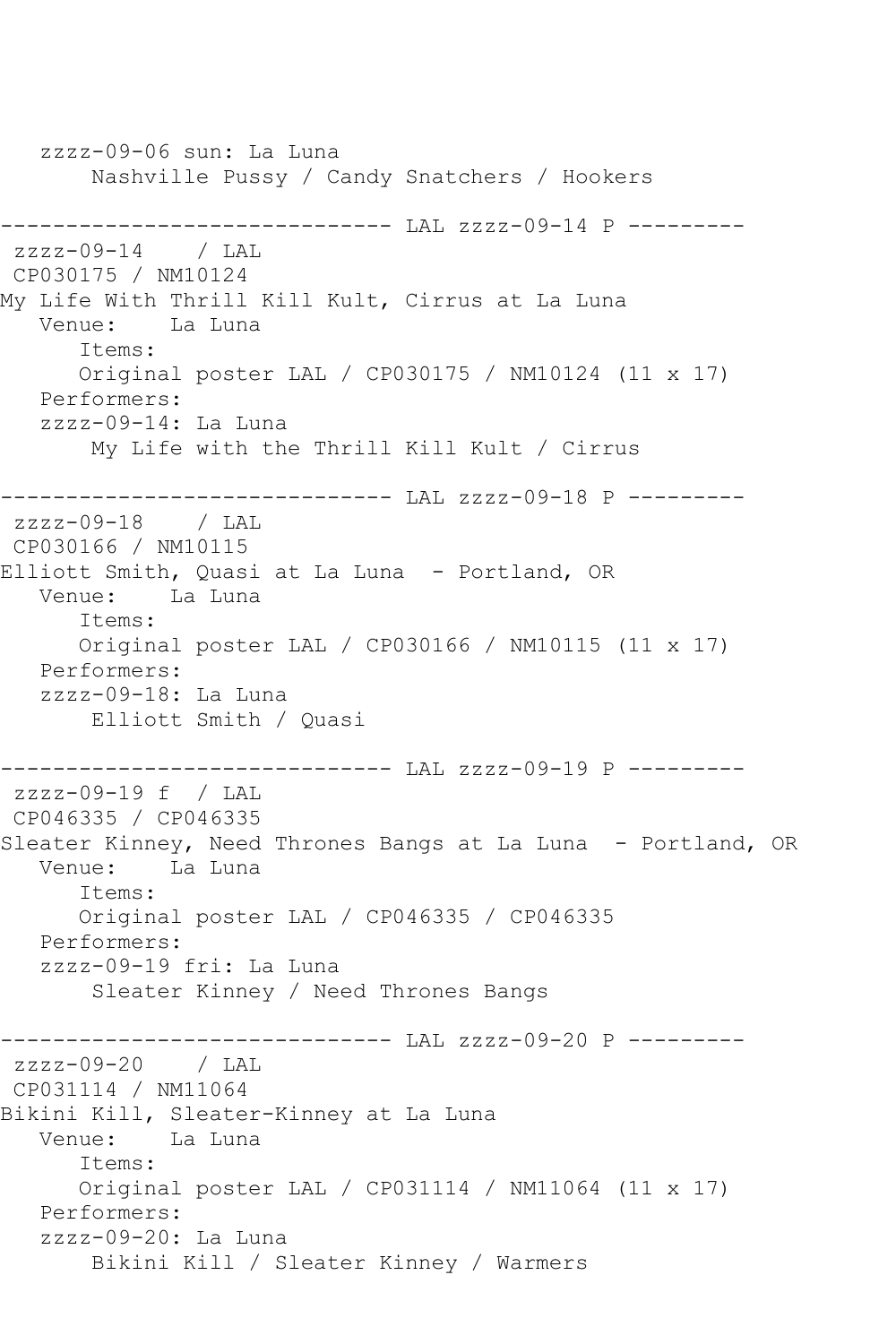zzzz-09-06 sun: La Luna Nashville Pussy / Candy Snatchers / Hookers ------------------------------ LAL zzzz-09-14 P -------- zzzz-09-14 / LAL CP030175 / NM10124 My Life With Thrill Kill Kult, Cirrus at La Luna<br>Venue: La Luna La Luna Items: Original poster LAL / CP030175 / NM10124 (11 x 17) Performers: zzzz-09-14: La Luna My Life with the Thrill Kill Kult / Cirrus ------------------------------ LAL zzzz-09-18 P -------- zzzz-09-18 / LAL CP030166 / NM10115 Elliott Smith, Quasi at La Luna - Portland, OR Venue: La Luna Items: Original poster LAL / CP030166 / NM10115 (11 x 17) Performers: zzzz-09-18: La Luna Elliott Smith / Quasi ------------------------------ LAL zzzz-09-19 P -------- zzzz-09-19 f / LAL CP046335 / CP046335 Sleater Kinney, Need Thrones Bangs at La Luna - Portland, OR Venue: La Luna Items: Original poster LAL / CP046335 / CP046335 Performers: zzzz-09-19 fri: La Luna Sleater Kinney / Need Thrones Bangs ------------------------------ LAL zzzz-09-20 P -------- zzzz-09-20 / LAL CP031114 / NM11064 Bikini Kill, Sleater-Kinney at La Luna Venue: La Luna Items: Original poster LAL / CP031114 / NM11064 (11 x 17) Performers: zzzz-09-20: La Luna Bikini Kill / Sleater Kinney / Warmers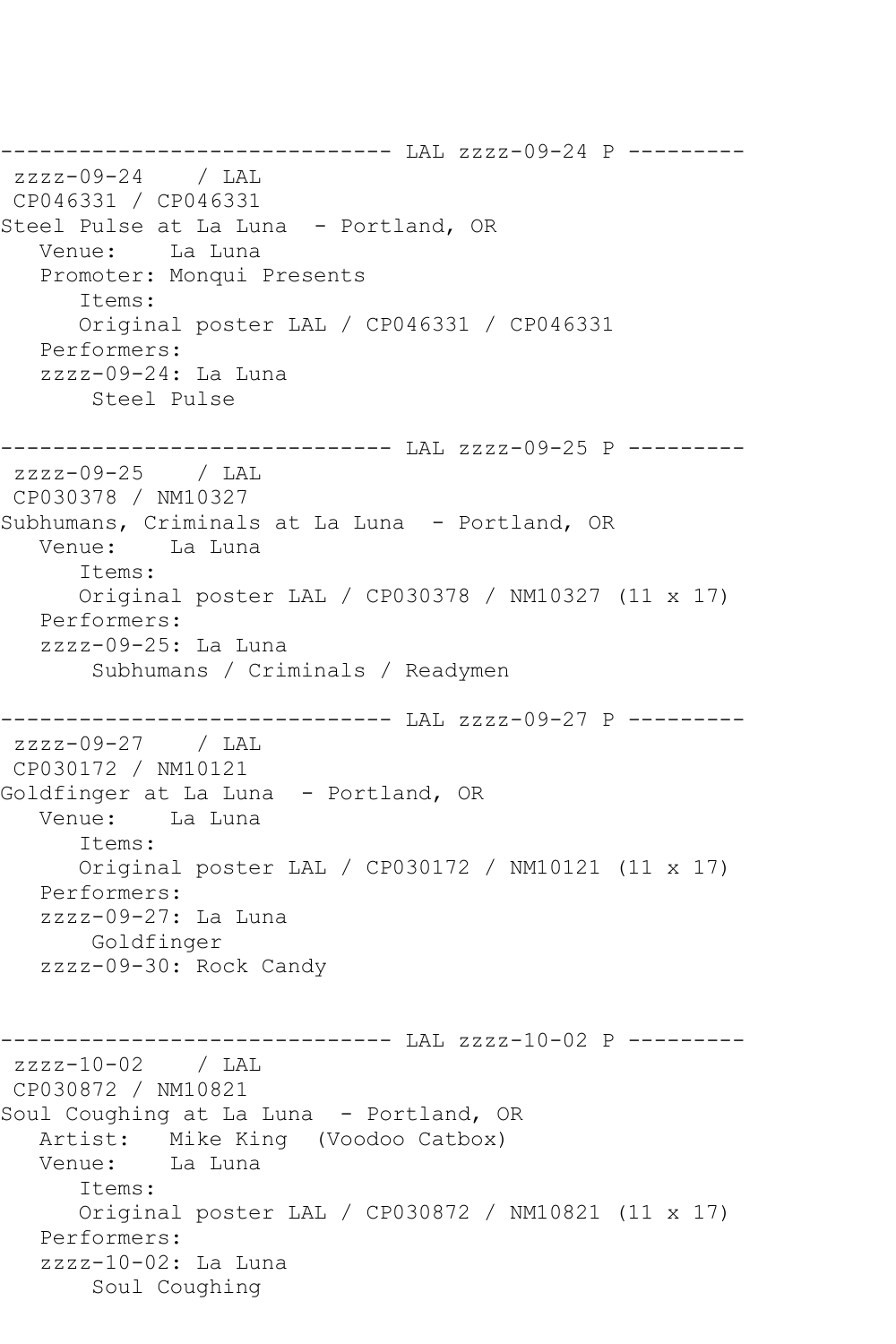------------------------------ LAL zzzz-09-24 P -------- zzzz-09-24 / LAL CP046331 / CP046331 Steel Pulse at La Luna - Portland, OR Venue: La Luna Promoter: Monqui Presents Items: Original poster LAL / CP046331 / CP046331 Performers: zzzz-09-24: La Luna Steel Pulse ------------------------------ LAL zzzz-09-25 P -------- zzzz-09-25 / LAL CP030378 / NM10327 Subhumans, Criminals at La Luna - Portland, OR Venue: La Luna Items: Original poster LAL / CP030378 / NM10327 (11 x 17) Performers: zzzz-09-25: La Luna Subhumans / Criminals / Readymen ------------------------------ LAL zzzz-09-27 P -------- zzzz-09-27 / LAL CP030172 / NM10121 Goldfinger at La Luna - Portland, OR Venue: La Luna Items: Original poster LAL / CP030172 / NM10121 (11 x 17) Performers: zzzz-09-27: La Luna Goldfinger zzzz-09-30: Rock Candy ------------------------------ LAL zzzz-10-02 P -------- zzzz-10-02 / LAL CP030872 / NM10821 Soul Coughing at La Luna - Portland, OR Artist: Mike King (Voodoo Catbox) Venue: La Luna Items: Original poster LAL / CP030872 / NM10821 (11 x 17) Performers: zzzz-10-02: La Luna Soul Coughing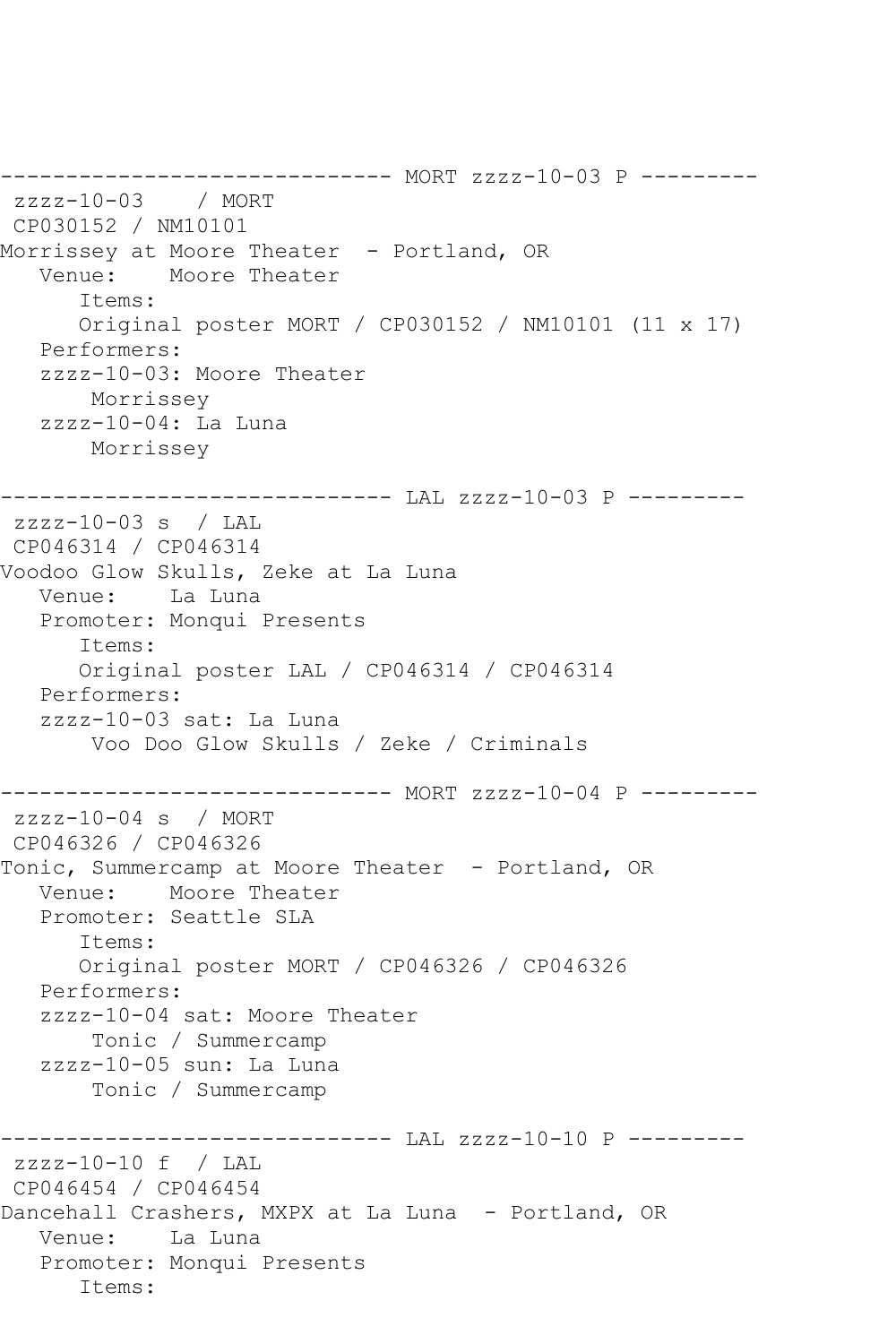------------------------------ MORT zzzz-10-03 P -------- zzzz-10-03 / MORT CP030152 / NM10101 Morrissey at Moore Theater - Portland, OR Venue: Moore Theater Items: Original poster MORT / CP030152 / NM10101 (11 x 17) Performers: zzzz-10-03: Moore Theater Morrissey zzzz-10-04: La Luna Morrissey ------------------------------ LAL zzzz-10-03 P -------- zzzz-10-03 s / LAL CP046314 / CP046314 Voodoo Glow Skulls, Zeke at La Luna Venue: La Luna Promoter: Monqui Presents Items: Original poster LAL / CP046314 / CP046314 Performers: zzzz-10-03 sat: La Luna Voo Doo Glow Skulls / Zeke / Criminals ------------------------------ MORT zzzz-10-04 P -------- zzzz-10-04 s / MORT CP046326 / CP046326 Tonic, Summercamp at Moore Theater - Portland, OR Venue: Moore Theater Promoter: Seattle SLA Items: Original poster MORT / CP046326 / CP046326 Performers: zzzz-10-04 sat: Moore Theater Tonic / Summercamp zzzz-10-05 sun: La Luna Tonic / Summercamp ------------------------------ LAL zzzz-10-10 P --------zzzz-10-10 f / LAL CP046454 / CP046454 Dancehall Crashers, MXPX at La Luna - Portland, OR Venue: La Luna Promoter: Monqui Presents Items: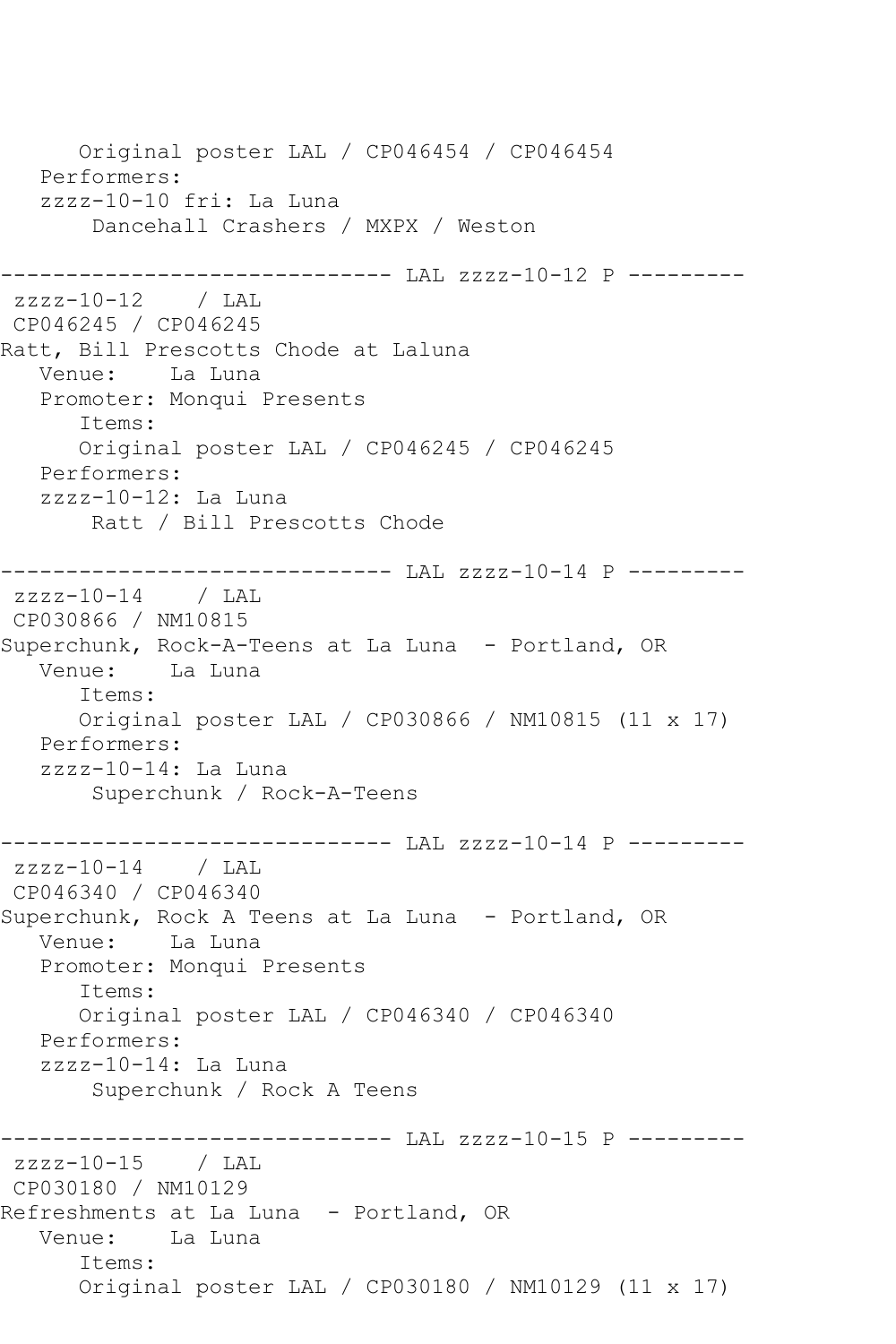Original poster LAL / CP046454 / CP046454 Performers: zzzz-10-10 fri: La Luna Dancehall Crashers / MXPX / Weston ------------------------------ LAL zzzz-10-12 P -------- zzzz-10-12 / LAL CP046245 / CP046245 Ratt, Bill Prescotts Chode at Laluna Venue: La Luna Promoter: Monqui Presents Items: Original poster LAL / CP046245 / CP046245 Performers: zzzz-10-12: La Luna Ratt / Bill Prescotts Chode ------------------------------ LAL zzzz-10-14 P -------- zzzz-10-14 / LAL CP030866 / NM10815 Superchunk, Rock-A-Teens at La Luna - Portland, OR Venue: La Luna Items: Original poster LAL / CP030866 / NM10815 (11 x 17) Performers: zzzz-10-14: La Luna Superchunk / Rock-A-Teens ------------------------------ LAL zzzz-10-14 P -------- zzzz-10-14 / LAL CP046340 / CP046340 Superchunk, Rock A Teens at La Luna - Portland, OR Venue: La Luna Promoter: Monqui Presents Items: Original poster LAL / CP046340 / CP046340 Performers: zzzz-10-14: La Luna Superchunk / Rock A Teens ------------------------------ LAL zzzz-10-15 P -------- zzzz-10-15 / LAL CP030180 / NM10129 Refreshments at La Luna - Portland, OR Venue: La Luna Items: Original poster LAL / CP030180 / NM10129 (11 x 17)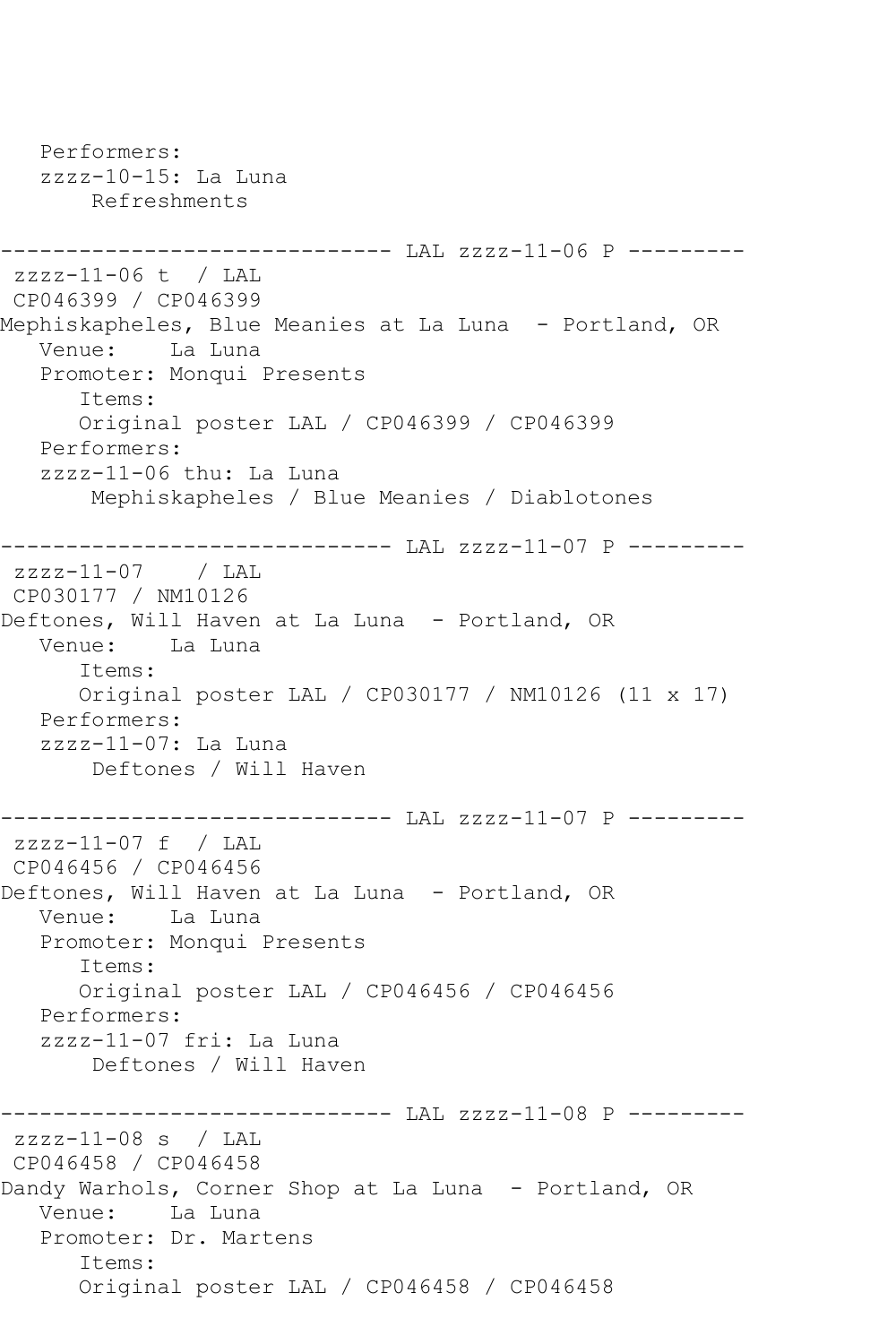Performers: zzzz-10-15: La Luna Refreshments ------------------------------ LAL zzzz-11-06 P -------- zzzz-11-06 t / LAL CP046399 / CP046399 Mephiskapheles, Blue Meanies at La Luna - Portland, OR Venue: La Luna Promoter: Monqui Presents Items: Original poster LAL / CP046399 / CP046399 Performers: zzzz-11-06 thu: La Luna Mephiskapheles / Blue Meanies / Diablotones ------------------------------ LAL zzzz-11-07 P -------- zzzz-11-07 / LAL CP030177 / NM10126 Deftones, Will Haven at La Luna - Portland, OR Venue: La Luna Items: Original poster LAL / CP030177 / NM10126 (11 x 17) Performers: zzzz-11-07: La Luna Deftones / Will Haven ------------------------------ LAL zzzz-11-07 P -------- zzzz-11-07 f / LAL CP046456 / CP046456 Deftones, Will Haven at La Luna - Portland, OR Venue: La Luna Promoter: Monqui Presents Items: Original poster LAL / CP046456 / CP046456 Performers: zzzz-11-07 fri: La Luna Deftones / Will Haven ------------------------------ LAL zzzz-11-08 P -------- zzzz-11-08 s / LAL CP046458 / CP046458 Dandy Warhols, Corner Shop at La Luna - Portland, OR Venue: La Luna Promoter: Dr. Martens Items: Original poster LAL / CP046458 / CP046458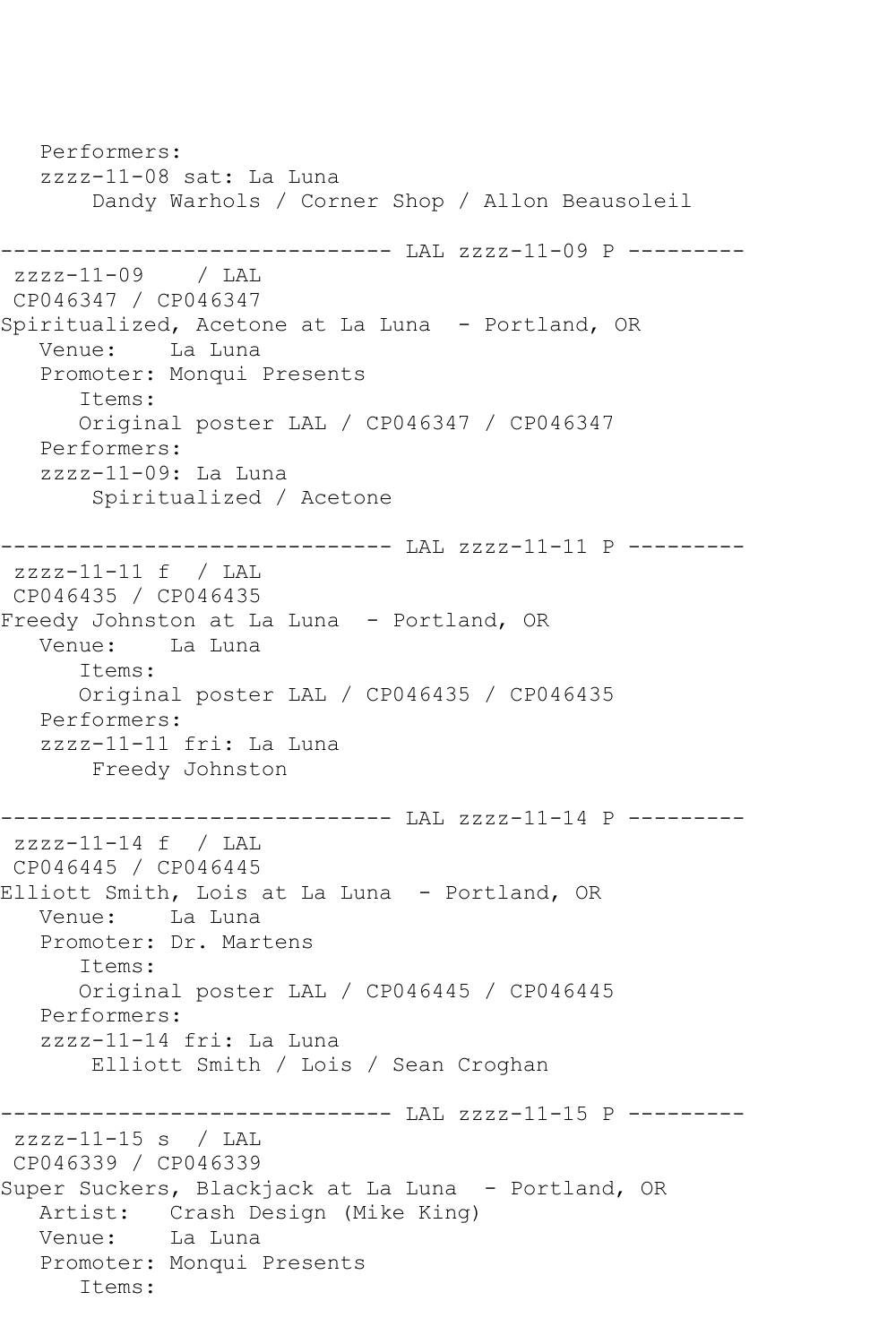Performers: zzzz-11-08 sat: La Luna Dandy Warhols / Corner Shop / Allon Beausoleil ------------------------------ LAL zzzz-11-09 P -------- zzzz-11-09 / LAL CP046347 / CP046347 Spiritualized, Acetone at La Luna - Portland, OR Venue: La Luna Promoter: Monqui Presents Items: Original poster LAL / CP046347 / CP046347 Performers: zzzz-11-09: La Luna Spiritualized / Acetone ------------------------------ LAL zzzz-11-11 P -------- zzzz-11-11 f / LAL CP046435 / CP046435 Freedy Johnston at La Luna - Portland, OR Venue: La Luna Items: Original poster LAL / CP046435 / CP046435 Performers: zzzz-11-11 fri: La Luna Freedy Johnston ----------------------------- LAL zzzz-11-14 P --------zzzz-11-14 f / LAL CP046445 / CP046445 Elliott Smith, Lois at La Luna - Portland, OR Venue: La Luna Promoter: Dr. Martens Items: Original poster LAL / CP046445 / CP046445 Performers: zzzz-11-14 fri: La Luna Elliott Smith / Lois / Sean Croghan ------------------------------ LAL zzzz-11-15 P -------- zzzz-11-15 s / LAL CP046339 / CP046339 Super Suckers, Blackjack at La Luna - Portland, OR Artist: Crash Design (Mike King) Venue: La Luna Promoter: Monqui Presents Items: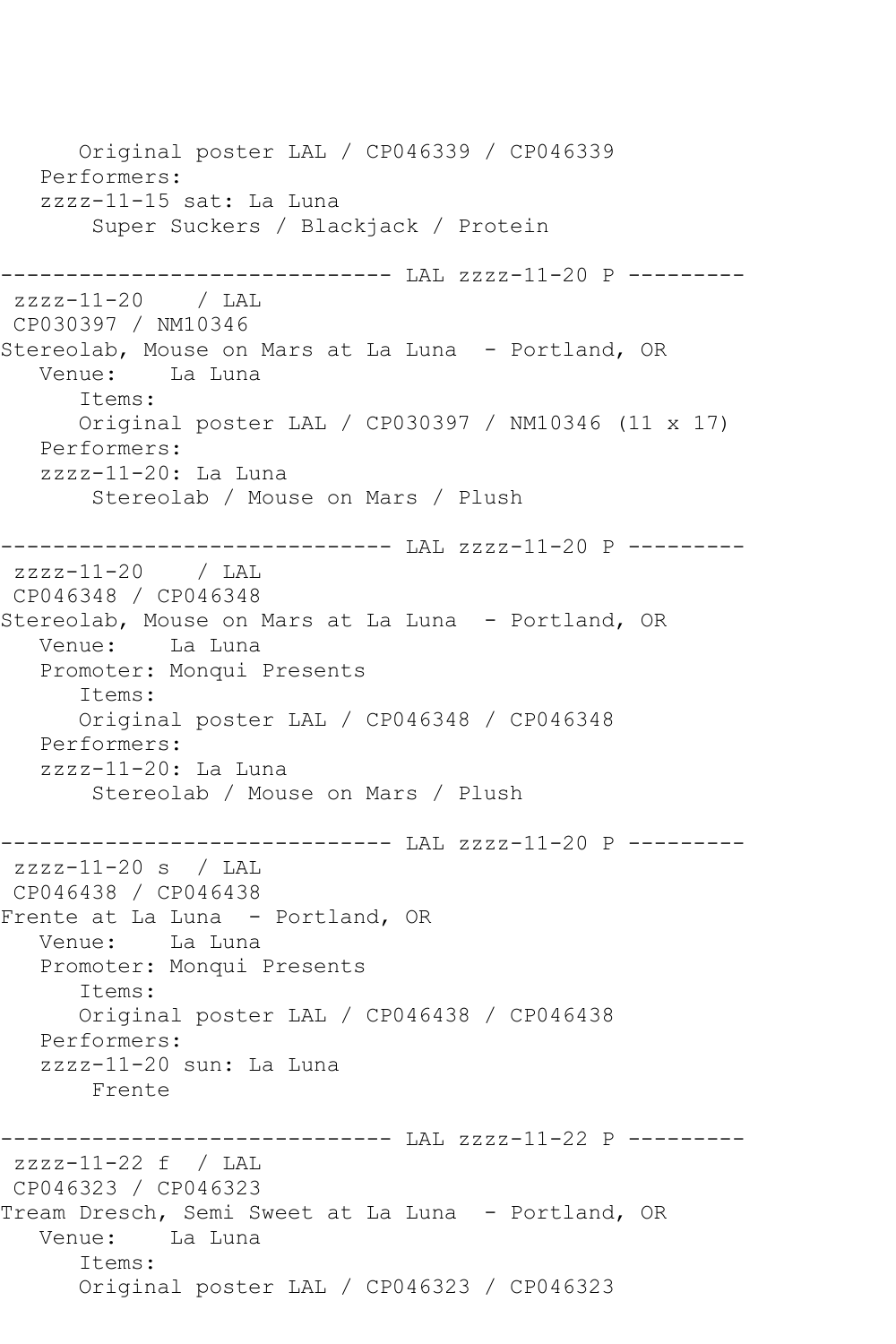Original poster LAL / CP046339 / CP046339 Performers: zzzz-11-15 sat: La Luna Super Suckers / Blackjack / Protein ------------------------------ LAL zzzz-11-20 P -------- zzzz-11-20 / LAL CP030397 / NM10346 Stereolab, Mouse on Mars at La Luna - Portland, OR Venue: La Luna Items: Original poster LAL / CP030397 / NM10346 (11 x 17) Performers: zzzz-11-20: La Luna Stereolab / Mouse on Mars / Plush ------------------------------ LAL zzzz-11-20 P -------- zzzz-11-20 / LAL CP046348 / CP046348 Stereolab, Mouse on Mars at La Luna - Portland, OR Venue: La Luna Promoter: Monqui Presents Items: Original poster LAL / CP046348 / CP046348 Performers: zzzz-11-20: La Luna Stereolab / Mouse on Mars / Plush ------------------------------ LAL zzzz-11-20 P -------- zzzz-11-20 s / LAL CP046438 / CP046438 Frente at La Luna - Portland, OR Venue: La Luna Promoter: Monqui Presents Items: Original poster LAL / CP046438 / CP046438 Performers: zzzz-11-20 sun: La Luna Frente ----------------------------- LAL zzzz-11-22 P --------zzzz-11-22 f / LAL CP046323 / CP046323 Tream Dresch, Semi Sweet at La Luna - Portland, OR Venue: La Luna Items: Original poster LAL / CP046323 / CP046323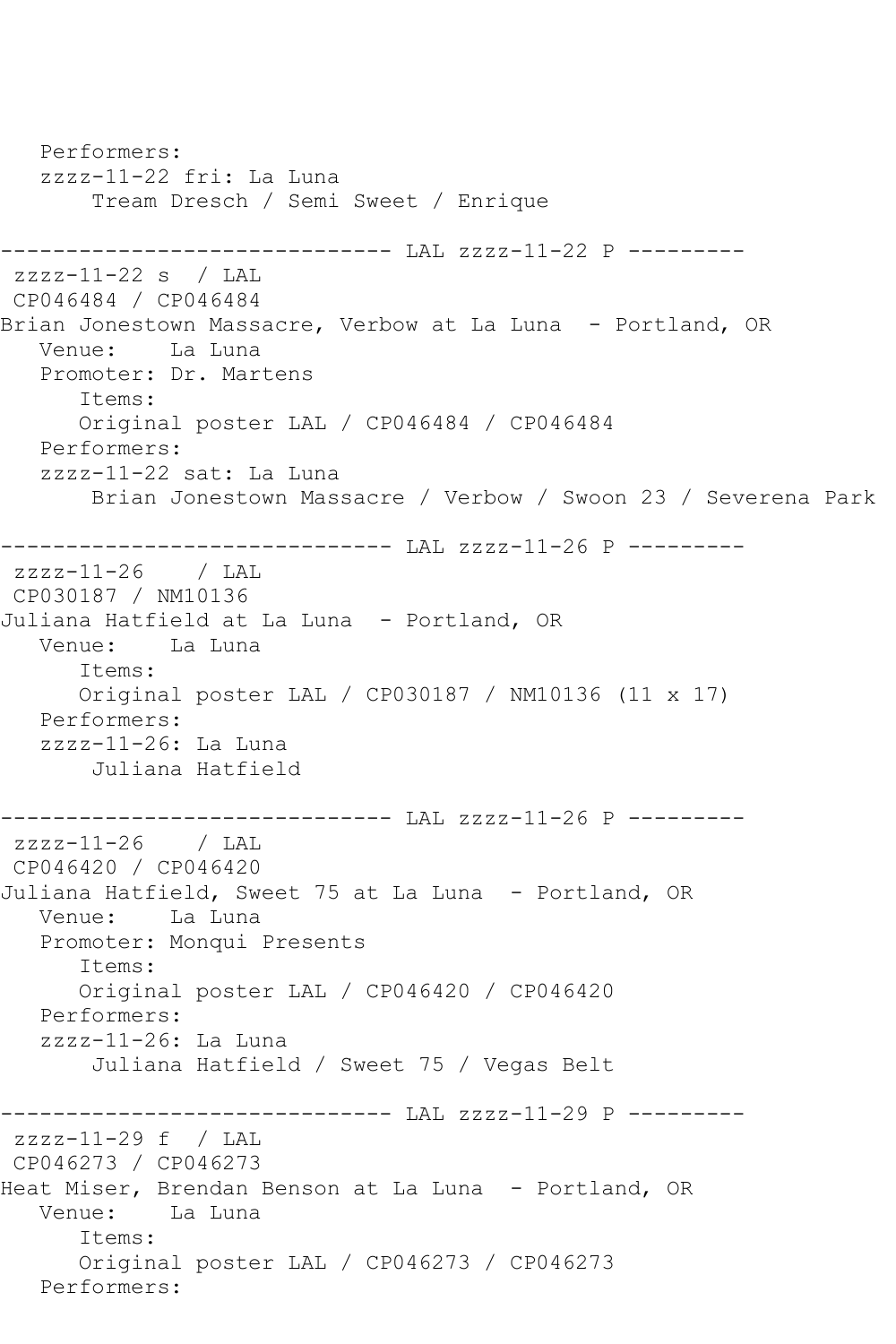Performers: zzzz-11-22 fri: La Luna Tream Dresch / Semi Sweet / Enrique ------------------------------ LAL zzzz-11-22 P --------zzzz-11-22 s / LAL CP046484 / CP046484 Brian Jonestown Massacre, Verbow at La Luna - Portland, OR Venue: La Luna Promoter: Dr. Martens Items: Original poster LAL / CP046484 / CP046484 Performers: zzzz-11-22 sat: La Luna Brian Jonestown Massacre / Verbow / Swoon 23 / Severena Park ------------------------------ LAL zzzz-11-26 P -------- zzzz-11-26 / LAL CP030187 / NM10136 Juliana Hatfield at La Luna - Portland, OR Venue: La Luna Items: Original poster LAL / CP030187 / NM10136 (11 x 17) Performers: zzzz-11-26: La Luna Juliana Hatfield ------------------------------ LAL zzzz-11-26 P -------- zzzz-11-26 / LAL CP046420 / CP046420 Juliana Hatfield, Sweet 75 at La Luna - Portland, OR Venue: La Luna Promoter: Monqui Presents Items: Original poster LAL / CP046420 / CP046420 Performers: zzzz-11-26: La Luna Juliana Hatfield / Sweet 75 / Vegas Belt ------------------------------ LAL zzzz-11-29 P -------- zzzz-11-29 f / LAL CP046273 / CP046273 Heat Miser, Brendan Benson at La Luna - Portland, OR Venue: La Luna Items: Original poster LAL / CP046273 / CP046273 Performers: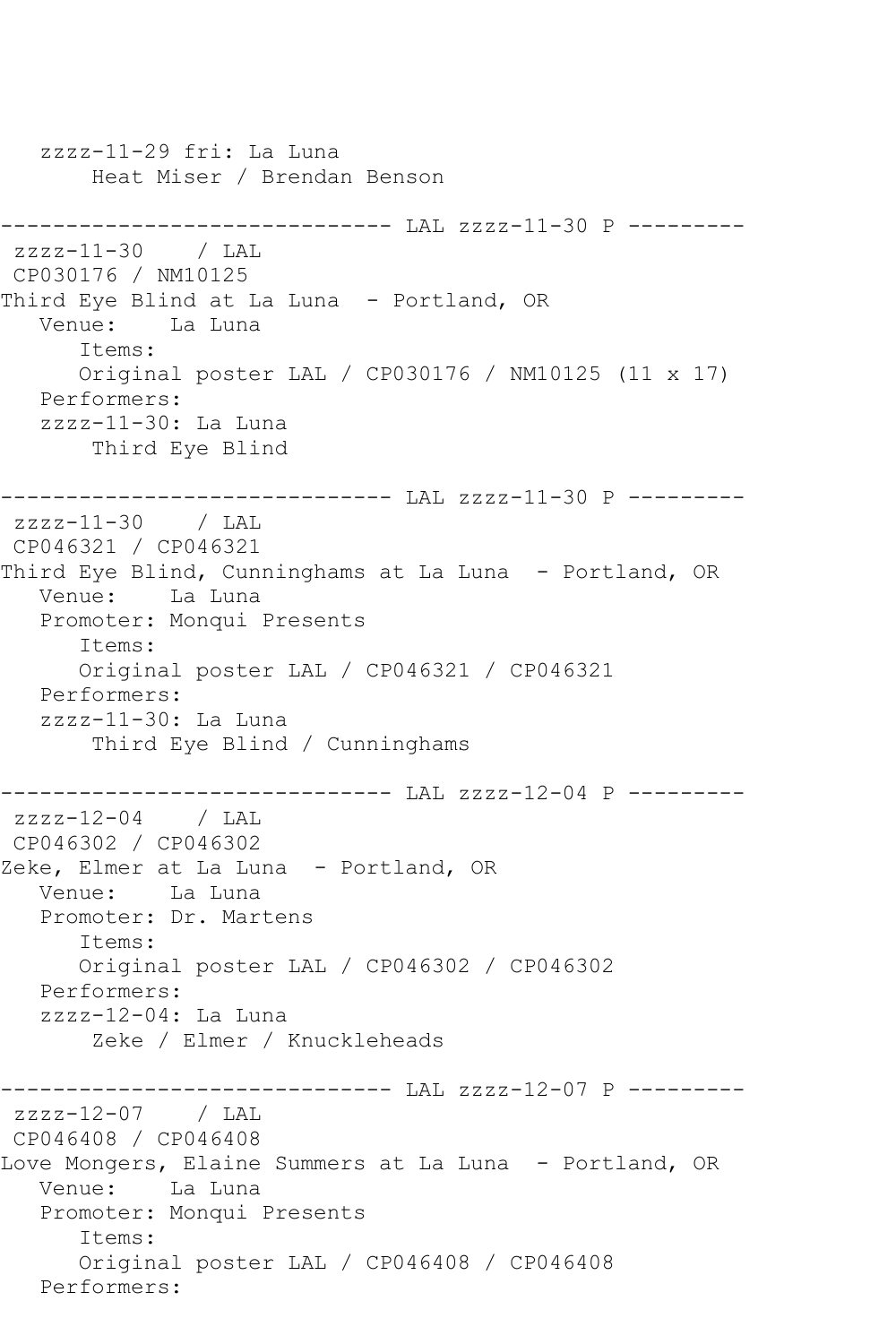zzzz-11-29 fri: La Luna Heat Miser / Brendan Benson ------------------------------ LAL zzzz-11-30 P --------  $zzzz-11-30$  / LAL CP030176 / NM10125 Third Eye Blind at La Luna - Portland, OR<br>Venue: La Luna La Luna Items: Original poster LAL / CP030176 / NM10125 (11 x 17) Performers: zzzz-11-30: La Luna Third Eye Blind ------------------------------ LAL zzzz-11-30 P -------- zzzz-11-30 / LAL CP046321 / CP046321 Third Eye Blind, Cunninghams at La Luna - Portland, OR Venue: La Luna Promoter: Monqui Presents Items: Original poster LAL / CP046321 / CP046321 Performers: zzzz-11-30: La Luna Third Eye Blind / Cunninghams ------------------------------ LAL zzzz-12-04 P -------- zzzz-12-04 / LAL CP046302 / CP046302 Zeke, Elmer at La Luna - Portland, OR Venue: La Luna Promoter: Dr. Martens Items: Original poster LAL / CP046302 / CP046302 Performers: zzzz-12-04: La Luna Zeke / Elmer / Knuckleheads ------------------------------ LAL zzzz-12-07 P -------- zzzz-12-07 / LAL CP046408 / CP046408 Love Mongers, Elaine Summers at La Luna - Portland, OR Venue: La Luna Promoter: Monqui Presents Items: Original poster LAL / CP046408 / CP046408 Performers: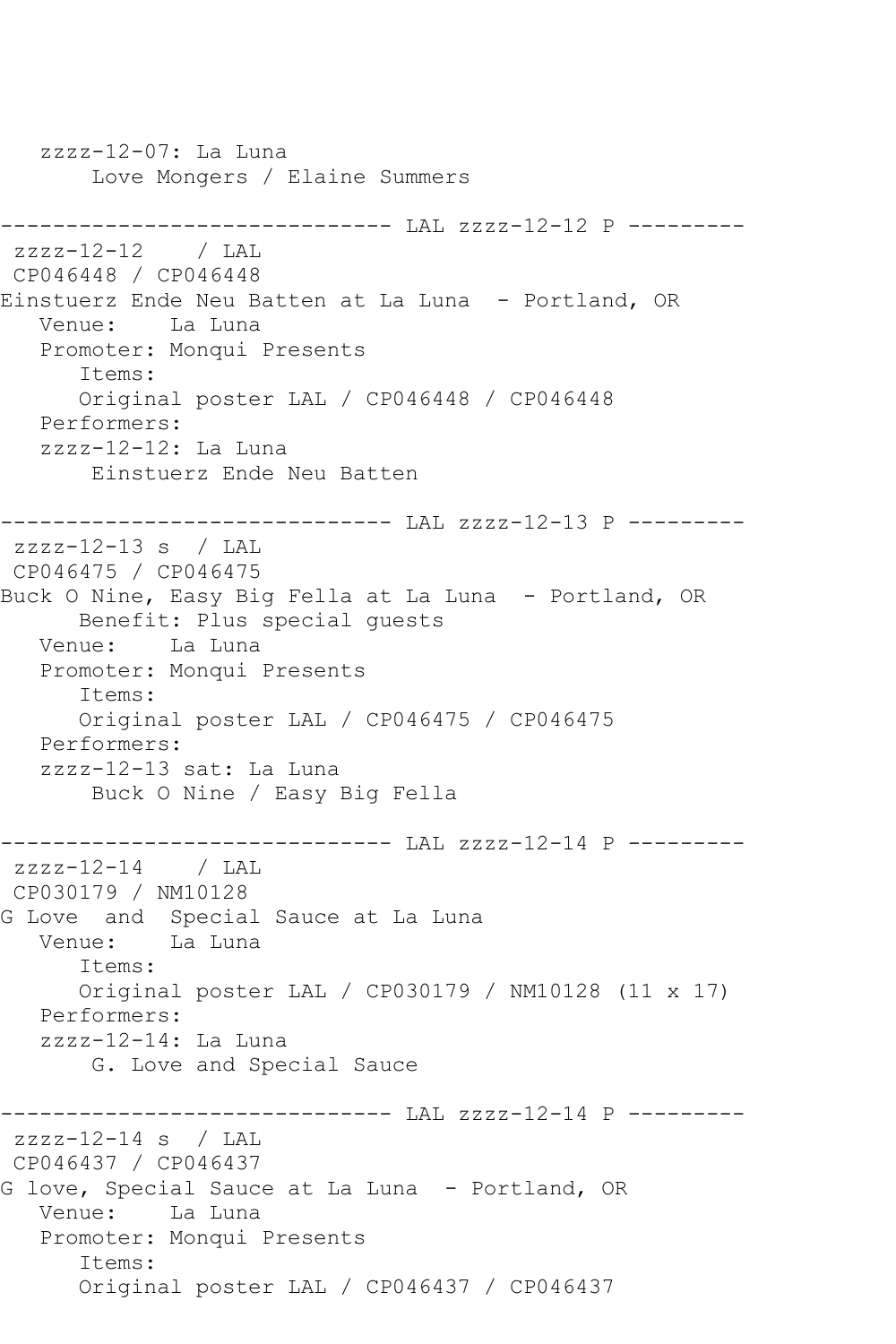zzzz-12-07: La Luna Love Mongers / Elaine Summers ----------------------------- LAL zzzz-12-12 P -------- $zzzz-12-12$  / LAL CP046448 / CP046448 Einstuerz Ende Neu Batten at La Luna - Portland, OR Venue: La Luna Promoter: Monqui Presents Items: Original poster LAL / CP046448 / CP046448 Performers: zzzz-12-12: La Luna Einstuerz Ende Neu Batten ------------------------------ LAL zzzz-12-13 P -------- zzzz-12-13 s / LAL CP046475 / CP046475 Buck O Nine, Easy Big Fella at La Luna - Portland, OR Benefit: Plus special guests Venue: La Luna Promoter: Monqui Presents Items: Original poster LAL / CP046475 / CP046475 Performers: zzzz-12-13 sat: La Luna Buck O Nine / Easy Big Fella ----------------------------- LAL zzzz-12-14 P --------zzzz-12-14 / LAL CP030179 / NM10128 G Love and Special Sauce at La Luna Venue: La Luna Items: Original poster LAL / CP030179 / NM10128 (11 x 17) Performers: zzzz-12-14: La Luna G. Love and Special Sauce ------------------------------ LAL zzzz-12-14 P -------- zzzz-12-14 s / LAL CP046437 / CP046437 G love, Special Sauce at La Luna - Portland, OR Venue: La Luna Promoter: Monqui Presents Items: Original poster LAL / CP046437 / CP046437